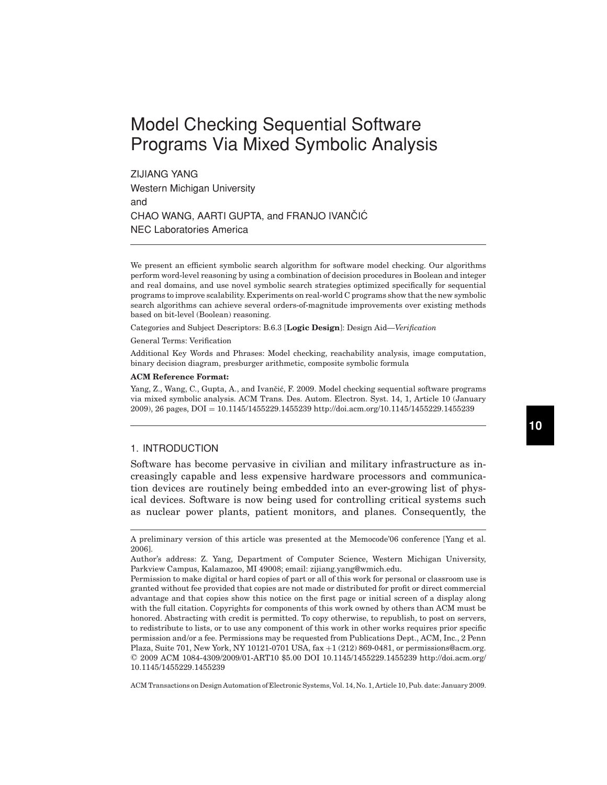# Model Checking Sequential Software Programs Via Mixed Symbolic Analysis

ZIJIANG YANG Western Michigan University and CHAO WANG, AARTI GUPTA, and FRANJO IVANČIĆ NEC Laboratories America

We present an efficient symbolic search algorithm for software model checking. Our algorithms perform word-level reasoning by using a combination of decision procedures in Boolean and integer and real domains, and use novel symbolic search strategies optimized specifically for sequential programs to improve scalability. Experiments on real-world C programs show that the new symbolic search algorithms can achieve several orders-of-magnitude improvements over existing methods based on bit-level (Boolean) reasoning.

Categories and Subject Descriptors: B.6.3 [**Logic Design**]: Design Aid—*Verification*

General Terms: Verification

Additional Key Words and Phrases: Model checking, reachability analysis, image computation, binary decision diagram, presburger arithmetic, composite symbolic formula

#### **ACM Reference Format:**

Yang, Z., Wang, C., Gupta, A., and Ivancić, F. 2009. Model checking sequential software programs via mixed symbolic analysis. ACM Trans. Des. Autom. Electron. Syst. 14, 1, Article 10 (January 2009), 26 pages, DOI = 10.1145/1455229.1455239 http://doi.acm.org/10.1145/1455229.1455239

# 1. INTRODUCTION

Software has become pervasive in civilian and military infrastructure as increasingly capable and less expensive hardware processors and communication devices are routinely being embedded into an ever-growing list of physical devices. Software is now being used for controlling critical systems such as nuclear power plants, patient monitors, and planes. Consequently, the

A preliminary version of this article was presented at the Memocode'06 conference [Yang et al. 2006].

Author's address: Z. Yang, Department of Computer Science, Western Michigan University, Parkview Campus, Kalamazoo, MI 49008; email: zijiang.yang@wmich.edu.

Permission to make digital or hard copies of part or all of this work for personal or classroom use is granted without fee provided that copies are not made or distributed for profit or direct commercial advantage and that copies show this notice on the first page or initial screen of a display along with the full citation. Copyrights for components of this work owned by others than ACM must be honored. Abstracting with credit is permitted. To copy otherwise, to republish, to post on servers, to redistribute to lists, or to use any component of this work in other works requires prior specific permission and/or a fee. Permissions may be requested from Publications Dept., ACM, Inc., 2 Penn Plaza, Suite 701, New York, NY 10121-0701 USA, fax +1 (212) 869-0481, or permissions@acm.org. © 2009 ACM 1084-4309/2009/01-ART10 \$5.00 DOI 10.1145/1455229.1455239 http://doi.acm.org/ 10.1145/1455229.1455239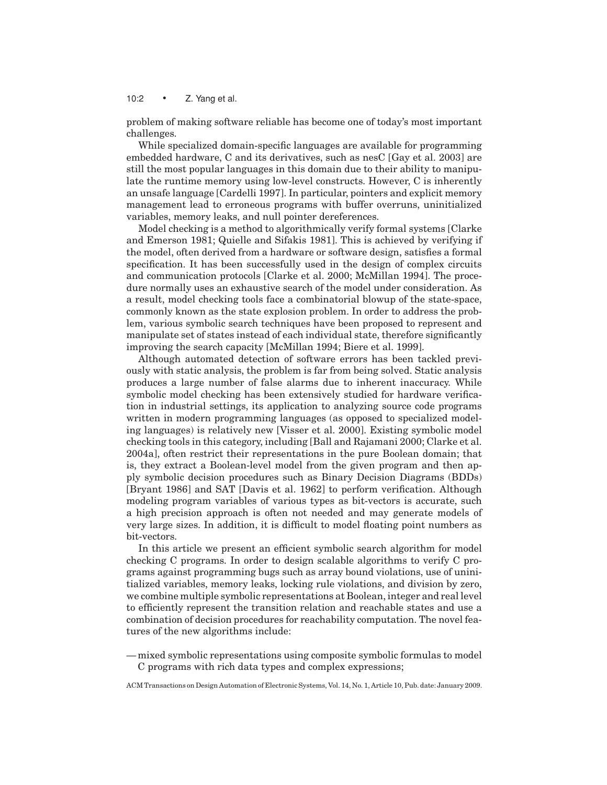## 10:2 • Z. Yang et al.

problem of making software reliable has become one of today's most important challenges.

While specialized domain-specific languages are available for programming embedded hardware, C and its derivatives, such as nesC [Gay et al. 2003] are still the most popular languages in this domain due to their ability to manipulate the runtime memory using low-level constructs. However, C is inherently an unsafe language [Cardelli 1997]. In particular, pointers and explicit memory management lead to erroneous programs with buffer overruns, uninitialized variables, memory leaks, and null pointer dereferences.

Model checking is a method to algorithmically verify formal systems [Clarke and Emerson 1981; Quielle and Sifakis 1981]. This is achieved by verifying if the model, often derived from a hardware or software design, satisfies a formal specification. It has been successfully used in the design of complex circuits and communication protocols [Clarke et al. 2000; McMillan 1994]. The procedure normally uses an exhaustive search of the model under consideration. As a result, model checking tools face a combinatorial blowup of the state-space, commonly known as the state explosion problem. In order to address the problem, various symbolic search techniques have been proposed to represent and manipulate set of states instead of each individual state, therefore significantly improving the search capacity [McMillan 1994; Biere et al. 1999].

Although automated detection of software errors has been tackled previously with static analysis, the problem is far from being solved. Static analysis produces a large number of false alarms due to inherent inaccuracy. While symbolic model checking has been extensively studied for hardware verification in industrial settings, its application to analyzing source code programs written in modern programming languages (as opposed to specialized modeling languages) is relatively new [Visser et al. 2000]. Existing symbolic model checking tools in this category, including [Ball and Rajamani 2000; Clarke et al. 2004a], often restrict their representations in the pure Boolean domain; that is, they extract a Boolean-level model from the given program and then apply symbolic decision procedures such as Binary Decision Diagrams (BDDs) [Bryant 1986] and SAT [Davis et al. 1962] to perform verification. Although modeling program variables of various types as bit-vectors is accurate, such a high precision approach is often not needed and may generate models of very large sizes. In addition, it is difficult to model floating point numbers as bit-vectors.

In this article we present an efficient symbolic search algorithm for model checking C programs. In order to design scalable algorithms to verify C programs against programming bugs such as array bound violations, use of uninitialized variables, memory leaks, locking rule violations, and division by zero, we combine multiple symbolic representations at Boolean, integer and real level to efficiently represent the transition relation and reachable states and use a combination of decision procedures for reachability computation. The novel features of the new algorithms include:

— mixed symbolic representations using composite symbolic formulas to model C programs with rich data types and complex expressions;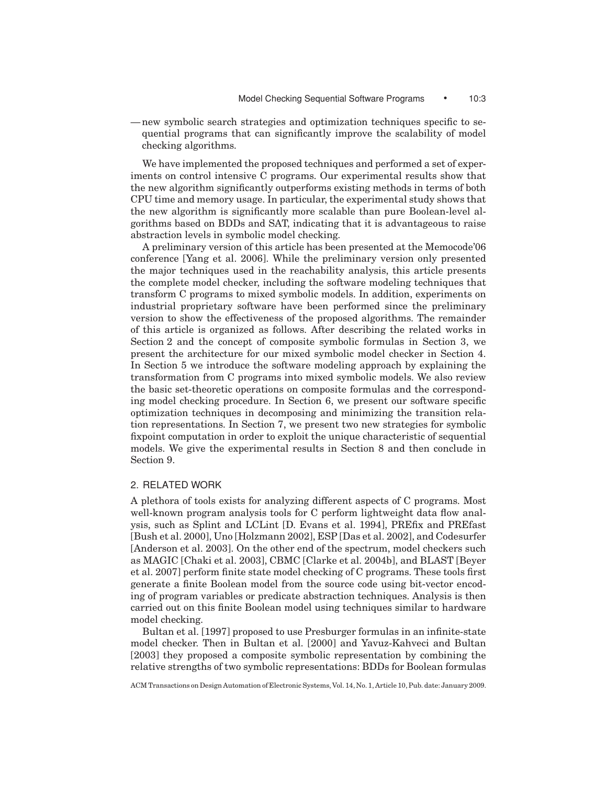— new symbolic search strategies and optimization techniques specific to sequential programs that can significantly improve the scalability of model checking algorithms.

We have implemented the proposed techniques and performed a set of experiments on control intensive C programs. Our experimental results show that the new algorithm significantly outperforms existing methods in terms of both CPU time and memory usage. In particular, the experimental study shows that the new algorithm is significantly more scalable than pure Boolean-level algorithms based on BDDs and SAT, indicating that it is advantageous to raise abstraction levels in symbolic model checking.

A preliminary version of this article has been presented at the Memocode'06 conference [Yang et al. 2006]. While the preliminary version only presented the major techniques used in the reachability analysis, this article presents the complete model checker, including the software modeling techniques that transform C programs to mixed symbolic models. In addition, experiments on industrial proprietary software have been performed since the preliminary version to show the effectiveness of the proposed algorithms. The remainder of this article is organized as follows. After describing the related works in Section 2 and the concept of composite symbolic formulas in Section 3, we present the architecture for our mixed symbolic model checker in Section 4. In Section 5 we introduce the software modeling approach by explaining the transformation from C programs into mixed symbolic models. We also review the basic set-theoretic operations on composite formulas and the corresponding model checking procedure. In Section 6, we present our software specific optimization techniques in decomposing and minimizing the transition relation representations. In Section 7, we present two new strategies for symbolic fixpoint computation in order to exploit the unique characteristic of sequential models. We give the experimental results in Section 8 and then conclude in Section 9.

## 2. RELATED WORK

A plethora of tools exists for analyzing different aspects of C programs. Most well-known program analysis tools for C perform lightweight data flow analysis, such as Splint and LCLint [D. Evans et al. 1994], PREfix and PREfast [Bush et al. 2000], Uno [Holzmann 2002], ESP [Das et al. 2002], and Codesurfer [Anderson et al. 2003]. On the other end of the spectrum, model checkers such as MAGIC [Chaki et al. 2003], CBMC [Clarke et al. 2004b], and BLAST [Beyer et al. 2007] perform finite state model checking of C programs. These tools first generate a finite Boolean model from the source code using bit-vector encoding of program variables or predicate abstraction techniques. Analysis is then carried out on this finite Boolean model using techniques similar to hardware model checking.

Bultan et al. [1997] proposed to use Presburger formulas in an infinite-state model checker. Then in Bultan et al. [2000] and Yavuz-Kahveci and Bultan [2003] they proposed a composite symbolic representation by combining the relative strengths of two symbolic representations: BDDs for Boolean formulas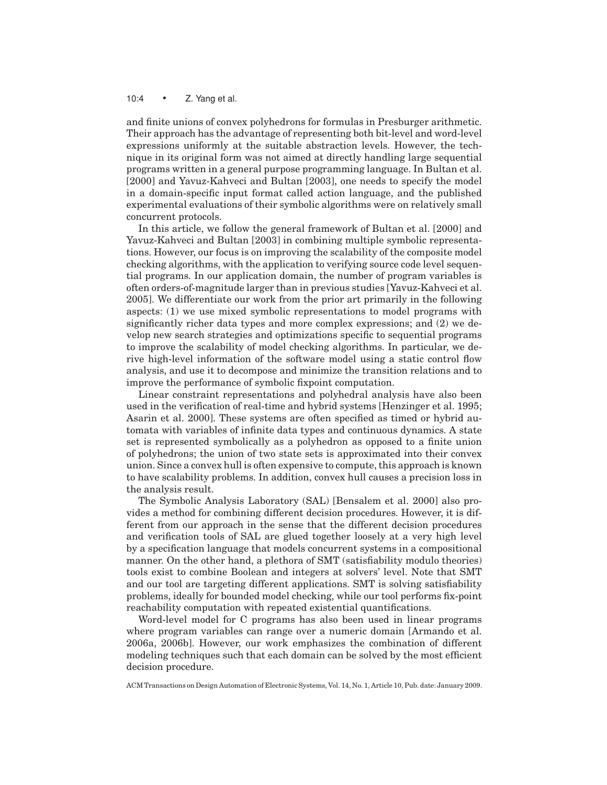#### 10:4 • Z. Yang et al.

and finite unions of convex polyhedrons for formulas in Presburger arithmetic. Their approach has the advantage of representing both bit-level and word-level expressions uniformly at the suitable abstraction levels. However, the technique in its original form was not aimed at directly handling large sequential programs written in a general purpose programming language. In Bultan et al. [2000] and Yavuz-Kahveci and Bultan [2003], one needs to specify the model in a domain-specific input format called action language, and the published experimental evaluations of their symbolic algorithms were on relatively small concurrent protocols.

In this article, we follow the general framework of Bultan et al. [2000] and Yavuz-Kahveci and Bultan [2003] in combining multiple symbolic representations. However, our focus is on improving the scalability of the composite model checking algorithms, with the application to verifying source code level sequential programs. In our application domain, the number of program variables is often orders-of-magnitude larger than in previous studies [Yavuz-Kahveci et al. 2005]. We differentiate our work from the prior art primarily in the following aspects: (1) we use mixed symbolic representations to model programs with significantly richer data types and more complex expressions; and (2) we develop new search strategies and optimizations specific to sequential programs to improve the scalability of model checking algorithms. In particular, we derive high-level information of the software model using a static control flow analysis, and use it to decompose and minimize the transition relations and to improve the performance of symbolic fixpoint computation.

Linear constraint representations and polyhedral analysis have also been used in the verification of real-time and hybrid systems [Henzinger et al. 1995; Asarin et al. 2000]. These systems are often specified as timed or hybrid automata with variables of infinite data types and continuous dynamics. A state set is represented symbolically as a polyhedron as opposed to a finite union of polyhedrons; the union of two state sets is approximated into their convex union. Since a convex hull is often expensive to compute, this approach is known to have scalability problems. In addition, convex hull causes a precision loss in the analysis result.

The Symbolic Analysis Laboratory (SAL) [Bensalem et al. 2000] also provides a method for combining different decision procedures. However, it is different from our approach in the sense that the different decision procedures and verification tools of SAL are glued together loosely at a very high level by a specification language that models concurrent systems in a compositional manner. On the other hand, a plethora of SMT (satisfiability modulo theories) tools exist to combine Boolean and integers at solvers' level. Note that SMT and our tool are targeting different applications. SMT is solving satisfiability problems, ideally for bounded model checking, while our tool performs fix-point reachability computation with repeated existential quantifications.

Word-level model for C programs has also been used in linear programs where program variables can range over a numeric domain [Armando et al. 2006a, 2006b]. However, our work emphasizes the combination of different modeling techniques such that each domain can be solved by the most efficient decision procedure.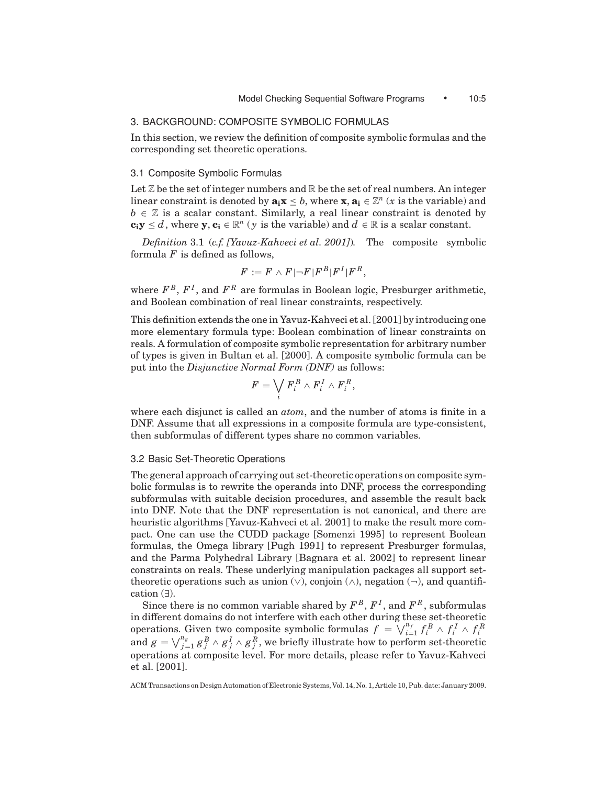# 3. BACKGROUND: COMPOSITE SYMBOLIC FORMULAS

In this section, we review the definition of composite symbolic formulas and the corresponding set theoretic operations.

## 3.1 Composite Symbolic Formulas

Let  $\mathbb Z$  be the set of integer numbers and  $\mathbb R$  be the set of real numbers. An integer linear constraint is denoted by  $\mathbf{a}_i \mathbf{x} \leq b$ , where  $\mathbf{x}, \mathbf{a}_i \in \mathbb{Z}^n$  (*x* is the variable) and  $b \in \mathbb{Z}$  is a scalar constant. Similarly, a real linear constraint is denoted by  $c_i y \leq d$ , where  $y, c_i \in \mathbb{R}^n$  (*y* is the variable) and  $d \in \mathbb{R}$  is a scalar constant.

*Definition* 3.1 (*c.f. [Yavuz-Kahveci et al. 2001]*)*.* The composite symbolic formula *F* is defined as follows,

$$
F:=F\wedge F|\neg F|F^B|F^I|F^R,
$$

where  $F^B$ ,  $F^I$ , and  $F^R$  are formulas in Boolean logic, Presburger arithmetic, and Boolean combination of real linear constraints, respectively.

This definition extends the one in Yavuz-Kahveci et al. [2001] by introducing one more elementary formula type: Boolean combination of linear constraints on reals. A formulation of composite symbolic representation for arbitrary number of types is given in Bultan et al. [2000]. A composite symbolic formula can be put into the *Disjunctive Normal Form (DNF)* as follows:

$$
F=\bigvee_i F_i^B\wedge F_i^I\wedge F_i^R,
$$

where each disjunct is called an *atom*, and the number of atoms is finite in a DNF. Assume that all expressions in a composite formula are type-consistent, then subformulas of different types share no common variables.

#### 3.2 Basic Set-Theoretic Operations

The general approach of carrying out set-theoretic operations on composite symbolic formulas is to rewrite the operands into DNF, process the corresponding subformulas with suitable decision procedures, and assemble the result back into DNF. Note that the DNF representation is not canonical, and there are heuristic algorithms [Yavuz-Kahveci et al. 2001] to make the result more compact. One can use the CUDD package [Somenzi 1995] to represent Boolean formulas, the Omega library [Pugh 1991] to represent Presburger formulas, and the Parma Polyhedral Library [Bagnara et al. 2002] to represent linear constraints on reals. These underlying manipulation packages all support settheoretic operations such as union  $(\vee)$ , conjoin  $(\wedge)$ , negation  $(\neg)$ , and quantification (∃).

Since there is no common variable shared by  $F^B$ ,  $F^I$ , and  $F^R$ , subformulas in different domains do not interfere with each other during these set-theoretic operations. Given two composite symbolic formulas  $f = \bigvee_{i=1}^{n_f} f_i^B \wedge f_i^I \wedge f_i^R$ and  $g = \bigvee_{j=1}^{n_g} g_j^B \wedge g_j^I \wedge g_j^R$ , we briefly illustrate how to perform set-theoretic operations at composite level. For more details, please refer to Yavuz-Kahveci et al. [2001].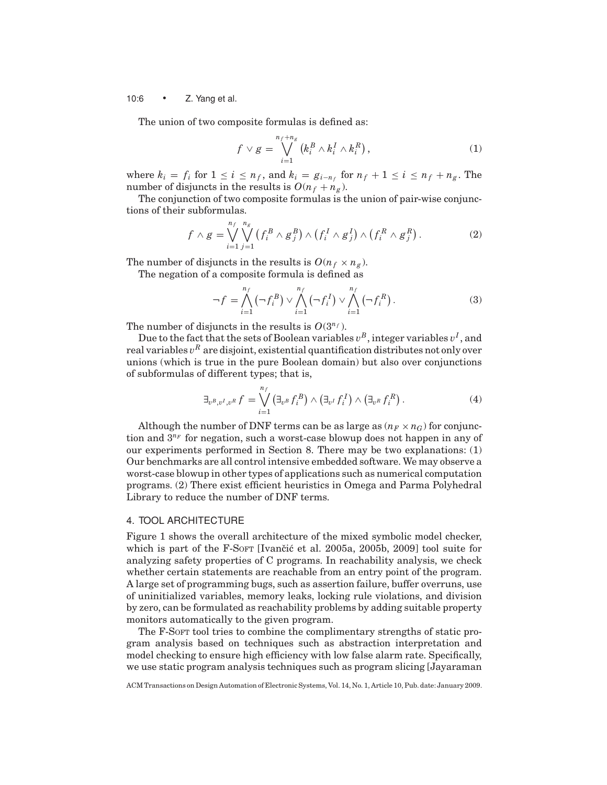10:6 • Z. Yang et al.

The union of two composite formulas is defined as:

$$
f \vee g = \bigvee_{i=1}^{n_f + n_g} \left( k_i^B \wedge k_i^I \wedge k_i^R \right), \tag{1}
$$

where  $k_i = f_i$  for  $1 \leq i \leq n_f$ , and  $k_i = g_{i-n_f}$  for  $n_f + 1 \leq i \leq n_f + n_g$ . The number of disjuncts in the results is  $O(n_f + n_g)$ .

The conjunction of two composite formulas is the union of pair-wise conjunctions of their subformulas.

$$
f \wedge g = \bigvee_{i=1}^{n_f} \bigvee_{j=1}^{n_g} \left( f_i^B \wedge g_j^B \right) \wedge \left( f_i^I \wedge g_j^I \right) \wedge \left( f_i^R \wedge g_j^R \right). \tag{2}
$$

The number of disjuncts in the results is  $O(n_f \times n_g)$ .

The negation of a composite formula is defined as

$$
\neg f = \bigwedge_{i=1}^{n_f} \left( \neg f_i^B \right) \vee \bigwedge_{i=1}^{n_f} \left( \neg f_i^I \right) \vee \bigwedge_{i=1}^{n_f} \left( \neg f_i^R \right). \tag{3}
$$

The number of disjuncts in the results is  $O(3^{n_f})$ .

Due to the fact that the sets of Boolean variables  $v^B$ , integer variables  $v^I$ , and real variables  $v^R$  are disjoint, existential quantification distributes not only over unions (which is true in the pure Boolean domain) but also over conjunctions of subformulas of different types; that is,

$$
\exists_{v^B,v^I,v^R} f = \bigvee_{i=1}^{n_f} \left( \exists_{v^B} f_i^B \right) \wedge \left( \exists_{v^I} f_i^I \right) \wedge \left( \exists_{v^R} f_i^R \right).
$$
 (4)

Although the number of DNF terms can be as large as  $(n_F \times n_G)$  for conjunction and  $3^{n_F}$  for negation, such a worst-case blowup does not happen in any of our experiments performed in Section 8. There may be two explanations: (1) Our benchmarks are all control intensive embedded software. We may observe a worst-case blowup in other types of applications such as numerical computation programs. (2) There exist efficient heuristics in Omega and Parma Polyhedral Library to reduce the number of DNF terms.

#### 4. TOOL ARCHITECTURE

Figure 1 shows the overall architecture of the mixed symbolic model checker, which is part of the F-SOFT [Ivančić et al. 2005a, 2005b, 2009] tool suite for analyzing safety properties of C programs. In reachability analysis, we check whether certain statements are reachable from an entry point of the program. A large set of programming bugs, such as assertion failure, buffer overruns, use of uninitialized variables, memory leaks, locking rule violations, and division by zero, can be formulated as reachability problems by adding suitable property monitors automatically to the given program.

The F-SOFT tool tries to combine the complimentary strengths of static program analysis based on techniques such as abstraction interpretation and model checking to ensure high efficiency with low false alarm rate. Specifically, we use static program analysis techniques such as program slicing [Jayaraman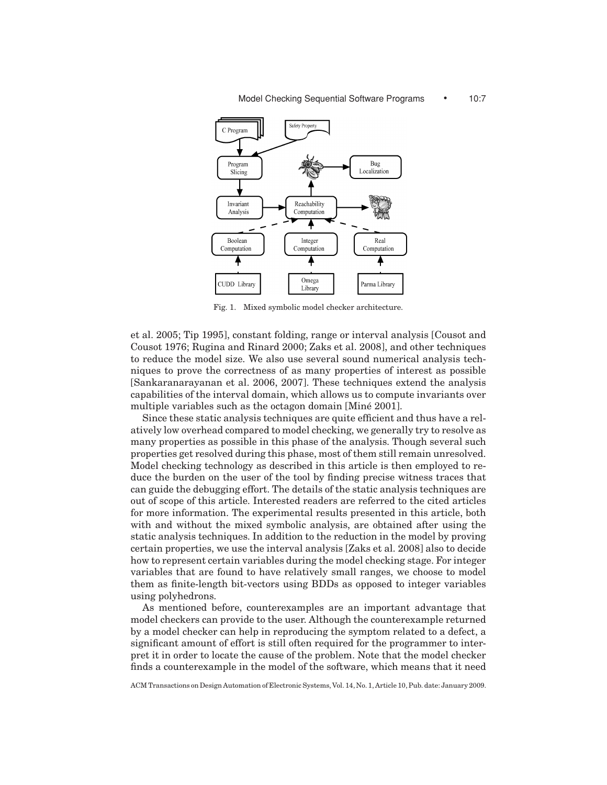



Fig. 1. Mixed symbolic model checker architecture.

et al. 2005; Tip 1995], constant folding, range or interval analysis [Cousot and Cousot 1976; Rugina and Rinard 2000; Zaks et al. 2008], and other techniques to reduce the model size. We also use several sound numerical analysis techniques to prove the correctness of as many properties of interest as possible [Sankaranarayanan et al. 2006, 2007]. These techniques extend the analysis capabilities of the interval domain, which allows us to compute invariants over multiple variables such as the octagon domain [Miné 2001].

Since these static analysis techniques are quite efficient and thus have a relatively low overhead compared to model checking, we generally try to resolve as many properties as possible in this phase of the analysis. Though several such properties get resolved during this phase, most of them still remain unresolved. Model checking technology as described in this article is then employed to reduce the burden on the user of the tool by finding precise witness traces that can guide the debugging effort. The details of the static analysis techniques are out of scope of this article. Interested readers are referred to the cited articles for more information. The experimental results presented in this article, both with and without the mixed symbolic analysis, are obtained after using the static analysis techniques. In addition to the reduction in the model by proving certain properties, we use the interval analysis [Zaks et al. 2008] also to decide how to represent certain variables during the model checking stage. For integer variables that are found to have relatively small ranges, we choose to model them as finite-length bit-vectors using BDDs as opposed to integer variables using polyhedrons.

As mentioned before, counterexamples are an important advantage that model checkers can provide to the user. Although the counterexample returned by a model checker can help in reproducing the symptom related to a defect, a significant amount of effort is still often required for the programmer to interpret it in order to locate the cause of the problem. Note that the model checker finds a counterexample in the model of the software, which means that it need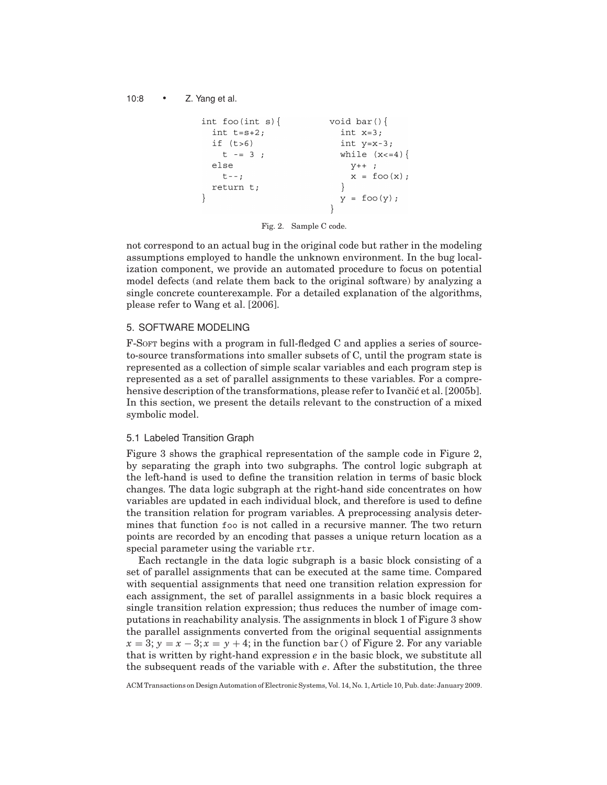10:8 • Z. Yang et al.

```
int foo(int s) {
                             void bar() {
  int t = s + 2;
                                int x=3;if (t>6)int y=x-3;t = 3;while (x<-4) {
                                  Y^{++} ;
  else
    t - -x = foo(x);\mathcal{E}return t;
\mathcal{E}= foo(y);
                                y
```
Fig. 2. Sample C code.

not correspond to an actual bug in the original code but rather in the modeling assumptions employed to handle the unknown environment. In the bug localization component, we provide an automated procedure to focus on potential model defects (and relate them back to the original software) by analyzing a single concrete counterexample. For a detailed explanation of the algorithms, please refer to Wang et al. [2006].

## 5. SOFTWARE MODELING

F-SOFT begins with a program in full-fledged C and applies a series of sourceto-source transformations into smaller subsets of C, until the program state is represented as a collection of simple scalar variables and each program step is represented as a set of parallel assignments to these variables. For a comprehensive description of the transformations, please refer to Ivančić et al. [2005b]. In this section, we present the details relevant to the construction of a mixed symbolic model.

## 5.1 Labeled Transition Graph

Figure 3 shows the graphical representation of the sample code in Figure 2, by separating the graph into two subgraphs. The control logic subgraph at the left-hand is used to define the transition relation in terms of basic block changes. The data logic subgraph at the right-hand side concentrates on how variables are updated in each individual block, and therefore is used to define the transition relation for program variables. A preprocessing analysis determines that function foo is not called in a recursive manner. The two return points are recorded by an encoding that passes a unique return location as a special parameter using the variable rtr.

Each rectangle in the data logic subgraph is a basic block consisting of a set of parallel assignments that can be executed at the same time. Compared with sequential assignments that need one transition relation expression for each assignment, the set of parallel assignments in a basic block requires a single transition relation expression; thus reduces the number of image computations in reachability analysis. The assignments in block 1 of Figure 3 show the parallel assignments converted from the original sequential assignments  $x = 3$ ;  $y = x - 3$ ;  $x = y + 4$ ; in the function bar() of Figure 2. For any variable that is written by right-hand expression *e* in the basic block, we substitute all the subsequent reads of the variable with *e*. After the substitution, the three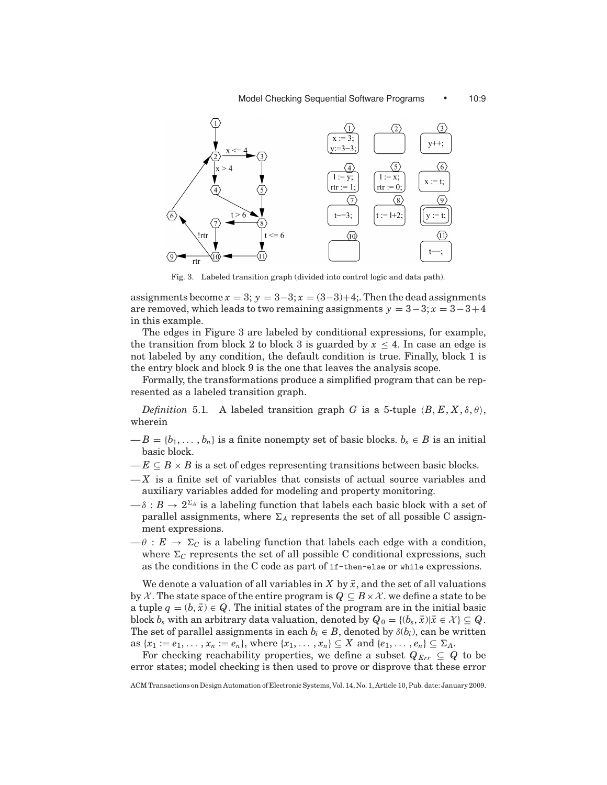#### Model Checking Sequential Software Programs • 10:9



Fig. 3. Labeled transition graph (divided into control logic and data path).

assignments become  $x = 3$ ;  $y = 3-3$ ;  $x = (3-3)+4$ ;. Then the dead assignments are removed, which leads to two remaining assignments  $y = 3-3; x = 3-3+4$ in this example.

The edges in Figure 3 are labeled by conditional expressions, for example, the transition from block 2 to block 3 is guarded by  $x < 4$ . In case an edge is not labeled by any condition, the default condition is true. Finally, block 1 is the entry block and block 9 is the one that leaves the analysis scope.

Formally, the transformations produce a simplified program that can be represented as a labeled transition graph.

*Definition* 5.1. A labeled transition graph *G* is a 5-tuple  $\langle B, E, X, \delta, \theta \rangle$ , wherein

- $-B = \{b_1, \ldots, b_n\}$  is a finite nonempty set of basic blocks.  $b_s \in B$  is an initial basic block.
- $-E \subseteq B \times B$  is a set of edges representing transitions between basic blocks.
- $-X$  is a finite set of variables that consists of actual source variables and auxiliary variables added for modeling and property monitoring.
- $-\delta : B \to 2^{\Sigma_A}$  is a labeling function that labels each basic block with a set of parallel assignments, where  $\Sigma_A$  represents the set of all possible C assignment expressions.
- $-\theta$ :  $E \rightarrow \Sigma_C$  is a labeling function that labels each edge with a condition, where  $\Sigma_C$  represents the set of all possible C conditional expressions, such as the conditions in the C code as part of if-then-else or while expressions.

We denote a valuation of all variables in  $X$  by  $\vec{x}$ , and the set of all valuations by X. The state space of the entire program is  $Q \subseteq B \times X$ . we define a state to be a tuple  $q = (b, \vec{x}) \in Q$ . The initial states of the program are in the initial basic block *b<sub>s</sub>* with an arbitrary data valuation, denoted by  $Q_0 = \{(b_s, \vec{x}) | \vec{x} \in \mathcal{X}\}\subseteq Q$ . The set of parallel assignments in each  $b_i \in B$ , denoted by  $\delta(b_i)$ , can be written as  $\{x_1 := e_1, \ldots, x_n := e_n\}$ , where  $\{x_1, \ldots, x_n\} \subseteq X$  and  $\{e_1, \ldots, e_n\} \subseteq \Sigma_A$ .

For checking reachability properties, we define a subset  $Q_{Err} \subseteq Q$  to be error states; model checking is then used to prove or disprove that these error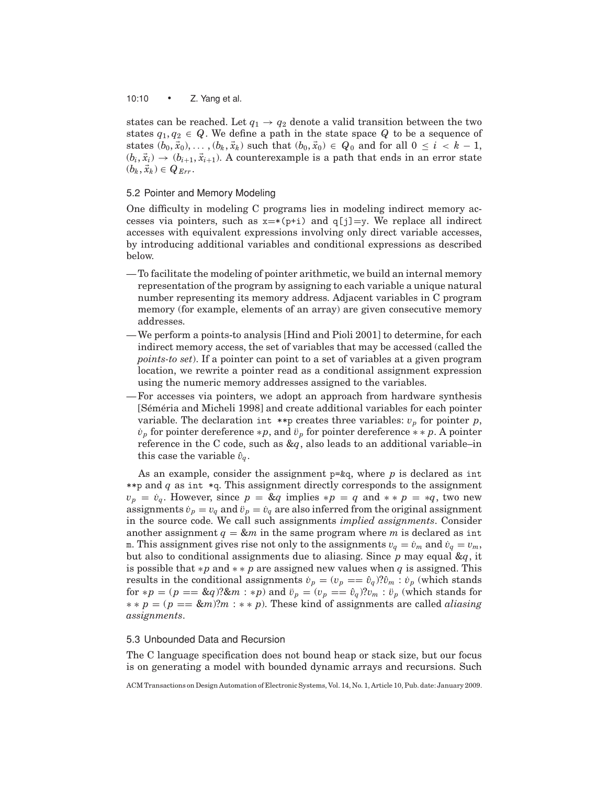10:10 • Z. Yang et al.

states can be reached. Let  $q_1 \rightarrow q_2$  denote a valid transition between the two states  $q_1, q_2 \in Q$ . We define a path in the state space Q to be a sequence of states  $(b_0, \vec{x}_0), \ldots, (b_k, \vec{x}_k)$  such that  $(b_0, \vec{x}_0) \in Q_0$  and for all  $0 \leq i \leq k - 1$ ,  $(b_i, \vec{x}_i) \rightarrow (b_{i+1}, \vec{x}_{i+1})$ . A counterexample is a path that ends in an error state  $(b_k, \vec{x}_k) \in Q_{Err}$ .

## 5.2 Pointer and Memory Modeling

One difficulty in modeling C programs lies in modeling indirect memory accesses via pointers, such as  $x=*(p+i)$  and  $q[i]=y$ . We replace all indirect accesses with equivalent expressions involving only direct variable accesses, by introducing additional variables and conditional expressions as described below.

- To facilitate the modeling of pointer arithmetic, we build an internal memory representation of the program by assigning to each variable a unique natural number representing its memory address. Adjacent variables in C program memory (for example, elements of an array) are given consecutive memory addresses.
- We perform a points-to analysis [Hind and Pioli 2001] to determine, for each indirect memory access, the set of variables that may be accessed (called the *points-to set*). If a pointer can point to a set of variables at a given program location, we rewrite a pointer read as a conditional assignment expression using the numeric memory addresses assigned to the variables.
- For accesses via pointers, we adopt an approach from hardware synthesis [Séméria and Micheli 1998] and create additional variables for each pointer variable. The declaration int  $**p$  creates three variables:  $v_p$  for pointer p,  $\dot{v}_p$  for pointer dereference \**p*, and  $\ddot{v}_p$  for pointer dereference \*\* *p*. A pointer reference in the C code, such as &*q*, also leads to an additional variable–in this case the variable  $\hat{v}_q$ .

As an example, consider the assignment  $p = kq$ , where  $p$  is declared as int \*\*p and *q* as int \*q. This assignment directly corresponds to the assignment  $v_p = v_q$ . However, since  $p = \&q$  implies  $*p = q$  and  $** p = *q$ , two new assignments  $\dot{v}_p = v_q$  and  $\ddot{v}_p = \dot{v}_q$  are also inferred from the original assignment in the source code. We call such assignments *implied assignments*. Consider another assignment  $q = \& m$  in the same program where m is declared as int m. This assignment gives rise not only to the assignments  $v_q = \dot{v}_m$  and  $\dot{v}_q = v_m$ , but also to conditional assignments due to aliasing. Since *p* may equal &*q*, it is possible that  $*D$  and  $*$  *p* are assigned new values when *q* is assigned. This results in the conditional assignments  $\dot{v}_p = (v_p == \hat{v}_q)\hat{v}_m : \dot{v}_p$  (which stands for  $*p = (p == \&q)$ ? $\&m : *p)$  and  $\ddot{v}_p = (v_p == \hat{v}_q)$ ? $v_m : \ddot{v}_p$  (which stands for ∗ ∗ *p* = (*p* == &*m*)?*m* : ∗ ∗ *p*). These kind of assignments are called *aliasing assignments*.

## 5.3 Unbounded Data and Recursion

The C language specification does not bound heap or stack size, but our focus is on generating a model with bounded dynamic arrays and recursions. Such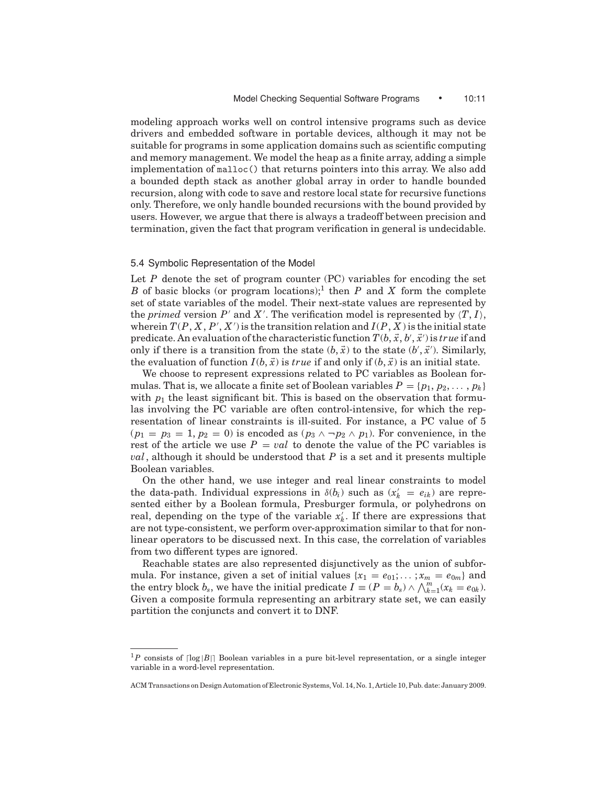modeling approach works well on control intensive programs such as device drivers and embedded software in portable devices, although it may not be suitable for programs in some application domains such as scientific computing and memory management. We model the heap as a finite array, adding a simple implementation of malloc() that returns pointers into this array. We also add a bounded depth stack as another global array in order to handle bounded recursion, along with code to save and restore local state for recursive functions only. Therefore, we only handle bounded recursions with the bound provided by users. However, we argue that there is always a tradeoff between precision and termination, given the fact that program verification in general is undecidable.

## 5.4 Symbolic Representation of the Model

Let  $P$  denote the set of program counter  $(PC)$  variables for encoding the set *B* of basic blocks (or program locations);<sup>1</sup> then *P* and *X* form the complete set of state variables of the model. Their next-state values are represented by the *primed* version  $P'$  and  $X'$ . The verification model is represented by  $\langle T, I \rangle$ , wherein  $T(P, X, P', X')$  is the transition relation and  $I(P, X)$  is the initial state predicate. An evaluation of the characteristic function  $T(b, \vec{x}, b', \vec{x}')$  is *true* if and only if there is a transition from the state  $(b, \vec{x})$  to the state  $(b', \vec{x}')$ . Similarly, the evaluation of function  $I(b, \vec{x})$  is *true* if and only if  $(b, \vec{x})$  is an initial state.

We choose to represent expressions related to PC variables as Boolean formulas. That is, we allocate a finite set of Boolean variables  $P = \{p_1, p_2, \ldots, p_k\}$ with  $p_1$  the least significant bit. This is based on the observation that formulas involving the PC variable are often control-intensive, for which the representation of linear constraints is ill-suited. For instance, a PC value of 5  $(p_1 = p_3 = 1, p_2 = 0)$  is encoded as  $(p_3 \wedge \neg p_2 \wedge p_1)$ . For convenience, in the rest of the article we use  $P = val$  to denote the value of the PC variables is *val*, although it should be understood that *P* is a set and it presents multiple Boolean variables.

On the other hand, we use integer and real linear constraints to model the data-path. Individual expressions in  $\delta(b_i)$  such as  $(x'_k = e_{ik})$  are represented either by a Boolean formula, Presburger formula, or polyhedrons on real, depending on the type of the variable  $x'_{k}$ . If there are expressions that are not type-consistent, we perform over-approximation similar to that for nonlinear operators to be discussed next. In this case, the correlation of variables from two different types are ignored.

Reachable states are also represented disjunctively as the union of subformula. For instance, given a set of initial values  $\{x_1 = e_{01}; \ldots; x_m = e_{0m}\}\$  and the entry block  $b_s$ , we have the initial predicate  $I = (P = b_s) \wedge \bigwedge_{k=1}^m (x_k = e_{0k})$ . Given a composite formula representing an arbitrary state set, we can easily partition the conjuncts and convert it to DNF.

<sup>&</sup>lt;sup>1</sup>P consists of  $\lceil \log |B| \rceil$  Boolean variables in a pure bit-level representation, or a single integer variable in a word-level representation.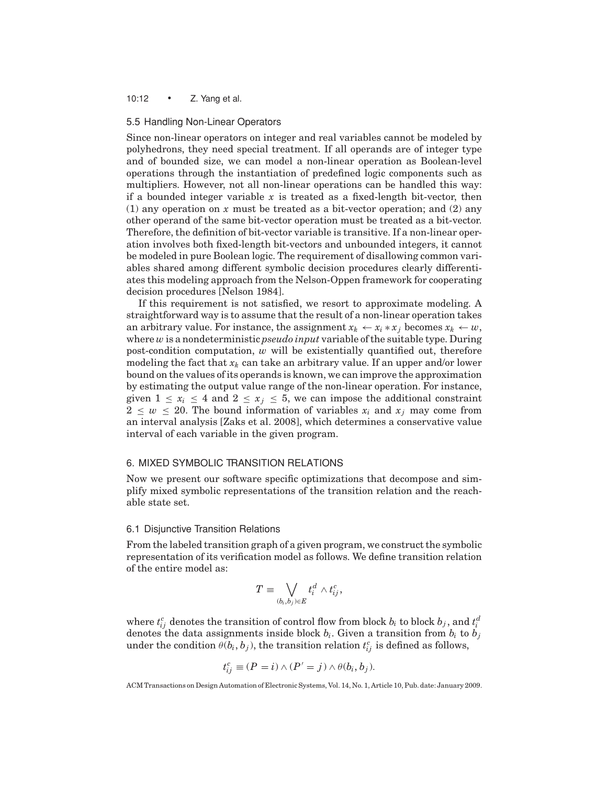#### 10:12 • Z. Yang et al.

#### 5.5 Handling Non-Linear Operators

Since non-linear operators on integer and real variables cannot be modeled by polyhedrons, they need special treatment. If all operands are of integer type and of bounded size, we can model a non-linear operation as Boolean-level operations through the instantiation of predefined logic components such as multipliers. However, not all non-linear operations can be handled this way: if a bounded integer variable  $x$  is treated as a fixed-length bit-vector, then (1) any operation on  $x$  must be treated as a bit-vector operation; and (2) any other operand of the same bit-vector operation must be treated as a bit-vector. Therefore, the definition of bit-vector variable is transitive. If a non-linear operation involves both fixed-length bit-vectors and unbounded integers, it cannot be modeled in pure Boolean logic. The requirement of disallowing common variables shared among different symbolic decision procedures clearly differentiates this modeling approach from the Nelson-Oppen framework for cooperating decision procedures [Nelson 1984].

If this requirement is not satisfied, we resort to approximate modeling. A straightforward way is to assume that the result of a non-linear operation takes an arbitrary value. For instance, the assignment  $x_k \leftarrow x_i * x_j$  becomes  $x_k \leftarrow w$ , where *w* is a nondeterministic *pseudo input* variable of the suitable type. During post-condition computation, *w* will be existentially quantified out, therefore modeling the fact that  $x_k$  can take an arbitrary value. If an upper and/or lower bound on the values of its operands is known, we can improve the approximation by estimating the output value range of the non-linear operation. For instance, given  $1 \le x_i \le 4$  and  $2 \le x_j \le 5$ , we can impose the additional constraint  $2 \leq w \leq 20$ . The bound information of variables  $x_i$  and  $x_j$  may come from an interval analysis [Zaks et al. 2008], which determines a conservative value interval of each variable in the given program.

## 6. MIXED SYMBOLIC TRANSITION RELATIONS

Now we present our software specific optimizations that decompose and simplify mixed symbolic representations of the transition relation and the reachable state set.

#### 6.1 Disjunctive Transition Relations

From the labeled transition graph of a given program, we construct the symbolic representation of its verification model as follows. We define transition relation of the entire model as:

$$
T \equiv \bigvee_{(b_i,b_j)\in E} t_i^d \wedge t_{ij}^c,
$$

where  $t_{ij}^c$  denotes the transition of control flow from block  $b_i$  to block  $b_j$ , and  $t_i^d$ denotes the data assignments inside block  $b_i$ . Given a transition from  $b_i$  to  $b_j$ under the condition  $\theta(b_i, b_j)$ , the transition relation  $t_{ij}^c$  is defined as follows,

$$
t_{ij}^c \equiv (P = i) \wedge (P' = j) \wedge \theta(b_i, b_j).
$$

ACM Transactions on Design Automation of Electronic Systems, Vol. 14, No. 1, Article 10, Pub. date: January 2009.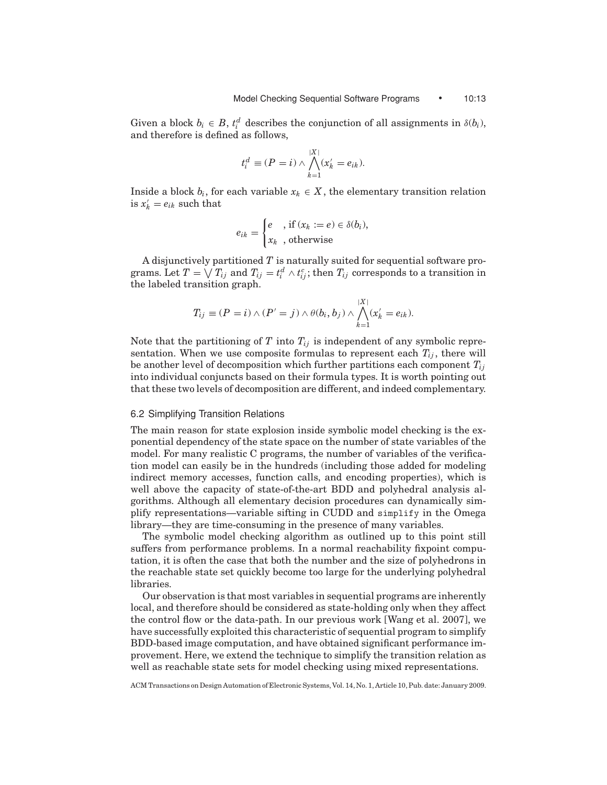Given a block  $b_i \in B$ ,  $t_i^d$  describes the conjunction of all assignments in  $\delta(b_i)$ , and therefore is defined as follows,

$$
t_i^d \equiv (P = i) \wedge \bigwedge_{k=1}^{|X|} (x'_k = e_{ik}).
$$

Inside a block  $b_i$ , for each variable  $x_k \in X$ , the elementary transition relation is  $x'_k = e_{ik}$  such that

$$
e_{ik} = \begin{cases} e, & \text{if } (x_k := e) \in \delta(b_i), \\ x_k, & \text{otherwise} \end{cases}
$$

A disjunctively partitioned *T* is naturally suited for sequential software programs. Let  $T = \bigvee T_{ij}$  and  $T_{ij} = t^d_i \wedge t^c_{ij}$ ; then  $T_{ij}$  corresponds to a transition in the labeled transition graph.

$$
T_{ij} \equiv (P = i) \wedge (P' = j) \wedge \theta(b_i, b_j) \wedge \bigwedge_{k=1}^{|X|} (x'_k = e_{ik}).
$$

Note that the partitioning of  $T$  into  $T_{ij}$  is independent of any symbolic representation. When we use composite formulas to represent each  $T_{ij}$ , there will be another level of decomposition which further partitions each component  $T_{ij}$ into individual conjuncts based on their formula types. It is worth pointing out that these two levels of decomposition are different, and indeed complementary.

## 6.2 Simplifying Transition Relations

The main reason for state explosion inside symbolic model checking is the exponential dependency of the state space on the number of state variables of the model. For many realistic C programs, the number of variables of the verification model can easily be in the hundreds (including those added for modeling indirect memory accesses, function calls, and encoding properties), which is well above the capacity of state-of-the-art BDD and polyhedral analysis algorithms. Although all elementary decision procedures can dynamically simplify representations—variable sifting in CUDD and simplify in the Omega library—they are time-consuming in the presence of many variables.

The symbolic model checking algorithm as outlined up to this point still suffers from performance problems. In a normal reachability fixpoint computation, it is often the case that both the number and the size of polyhedrons in the reachable state set quickly become too large for the underlying polyhedral libraries.

Our observation is that most variables in sequential programs are inherently local, and therefore should be considered as state-holding only when they affect the control flow or the data-path. In our previous work [Wang et al. 2007], we have successfully exploited this characteristic of sequential program to simplify BDD-based image computation, and have obtained significant performance improvement. Here, we extend the technique to simplify the transition relation as well as reachable state sets for model checking using mixed representations.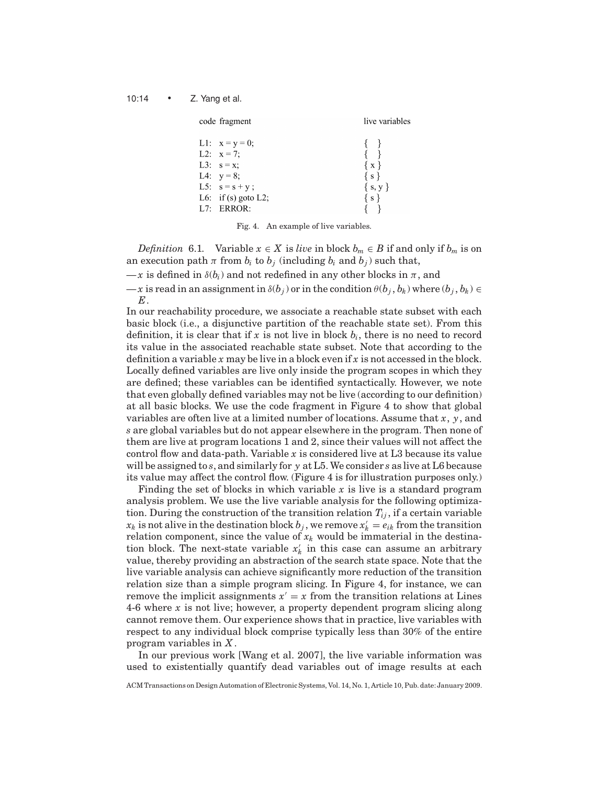10:14 • Z. Yang et al.

code fragment

| L1: $x = y = 0$ ;   | $\{ \}$    |
|---------------------|------------|
| L2: $x = 7$ ;       | $\{ \}$    |
| L3: $s = x$ ;       | $\{x\}$    |
| L4: $y = 8$ ;       | $\{s\}$    |
| L5: $s = s + y$ ;   | $\{s, y\}$ |
| L6: if (s) goto L2; | $\{s\}$    |
| $L7:$ ERROR:        |            |

live variables

Fig. 4. An example of live variables.

*Definition* 6.1. Variable  $x \in X$  is *live* in block  $b_m \in B$  if and only if  $b_m$  is on an execution path  $\pi$  from  $b_i$  to  $b_j$  (including  $b_i$  and  $b_j$ ) such that,

 $-x$  is defined in  $\delta(b_i)$  and not redefined in any other blocks in  $\pi$ , and

— *x* is read in an assignment in  $\delta(b_j)$  or in the condition  $\theta(b_j, b_k)$  where  $(b_j, b_k) \in$ *E*.

In our reachability procedure, we associate a reachable state subset with each basic block (i.e., a disjunctive partition of the reachable state set). From this definition, it is clear that if  $x$  is not live in block  $b_i$ , there is no need to record its value in the associated reachable state subset. Note that according to the definition a variable *x* may be live in a block even if *x* is not accessed in the block. Locally defined variables are live only inside the program scopes in which they are defined; these variables can be identified syntactically. However, we note that even globally defined variables may not be live (according to our definition) at all basic blocks. We use the code fragment in Figure 4 to show that global variables are often live at a limited number of locations. Assume that *x*, *y*, and *s* are global variables but do not appear elsewhere in the program. Then none of them are live at program locations 1 and 2, since their values will not affect the control flow and data-path. Variable *x* is considered live at L3 because its value will be assigned to *s*, and similarly for *y* at L5. We consider *s* as live at L6 because its value may affect the control flow. (Figure 4 is for illustration purposes only.)

Finding the set of blocks in which variable  $x$  is live is a standard program analysis problem. We use the live variable analysis for the following optimization. During the construction of the transition relation  $T_{ij}$ , if a certain variable  $x_k$  is not alive in the destination block  $b_j$  , we remove  $x'_k = e_{ik}$  from the transition relation component, since the value of  $x_k$  would be immaterial in the destination block. The next-state variable  $x'_{k}$  in this case can assume an arbitrary value, thereby providing an abstraction of the search state space. Note that the live variable analysis can achieve significantly more reduction of the transition relation size than a simple program slicing. In Figure 4, for instance, we can remove the implicit assignments  $x' = x$  from the transition relations at Lines 4-6 where *x* is not live; however, a property dependent program slicing along cannot remove them. Our experience shows that in practice, live variables with respect to any individual block comprise typically less than 30% of the entire program variables in *X* .

In our previous work [Wang et al. 2007], the live variable information was used to existentially quantify dead variables out of image results at each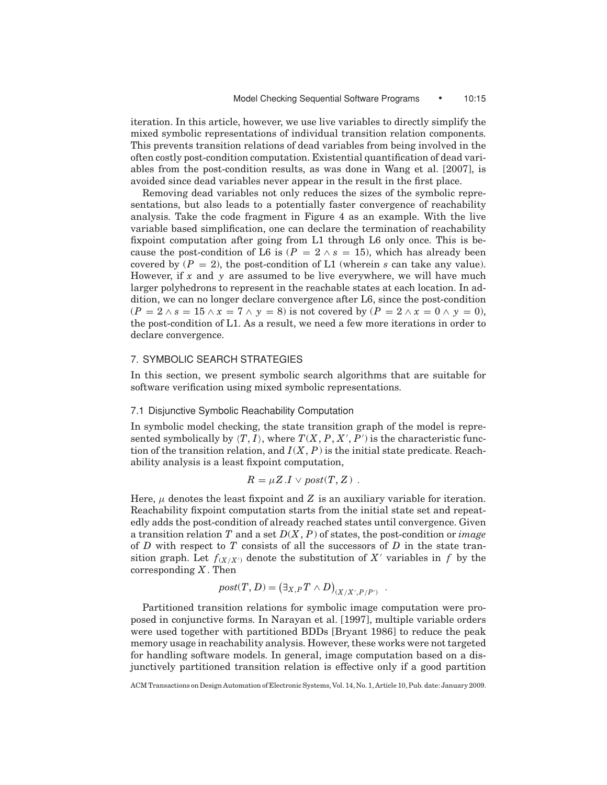iteration. In this article, however, we use live variables to directly simplify the mixed symbolic representations of individual transition relation components. This prevents transition relations of dead variables from being involved in the often costly post-condition computation. Existential quantification of dead variables from the post-condition results, as was done in Wang et al. [2007], is avoided since dead variables never appear in the result in the first place.

Removing dead variables not only reduces the sizes of the symbolic representations, but also leads to a potentially faster convergence of reachability analysis. Take the code fragment in Figure 4 as an example. With the live variable based simplification, one can declare the termination of reachability fixpoint computation after going from L1 through L6 only once. This is because the post-condition of L6 is ( $P = 2 \wedge s = 15$ ), which has already been covered by  $(P = 2)$ , the post-condition of L1 (wherein *s* can take any value). However, if *x* and *y* are assumed to be live everywhere, we will have much larger polyhedrons to represent in the reachable states at each location. In addition, we can no longer declare convergence after L6, since the post-condition  $(P = 2 \land s = 15 \land x = 7 \land y = 8)$  is not covered by  $(P = 2 \land x = 0 \land y = 0)$ , the post-condition of L1. As a result, we need a few more iterations in order to declare convergence.

## 7. SYMBOLIC SEARCH STRATEGIES

In this section, we present symbolic search algorithms that are suitable for software verification using mixed symbolic representations.

## 7.1 Disjunctive Symbolic Reachability Computation

In symbolic model checking, the state transition graph of the model is represented symbolically by  $\langle T, I \rangle$ , where  $T(X, P, X', P')$  is the characteristic function of the transition relation, and  $I(X, P)$  is the initial state predicate. Reachability analysis is a least fixpoint computation,

$$
R = \mu Z.I \vee post(T, Z) .
$$

Here,  $\mu$  denotes the least fixpoint and Z is an auxiliary variable for iteration. Reachability fixpoint computation starts from the initial state set and repeatedly adds the post-condition of already reached states until convergence. Given a transition relation *T* and a set *D*(*X* , *P*) of states, the post-condition or *image* of *D* with respect to *T* consists of all the successors of *D* in the state transition graph. Let  $f_{(X/X)}$  denote the substitution of X' variables in f by the corresponding *X* . Then

$$
post(T, D) = (\exists_{X,P} T \wedge D)_{(X/X', P/P')} .
$$

Partitioned transition relations for symbolic image computation were proposed in conjunctive forms. In Narayan et al. [1997], multiple variable orders were used together with partitioned BDDs [Bryant 1986] to reduce the peak memory usage in reachability analysis. However, these works were not targeted for handling software models. In general, image computation based on a disjunctively partitioned transition relation is effective only if a good partition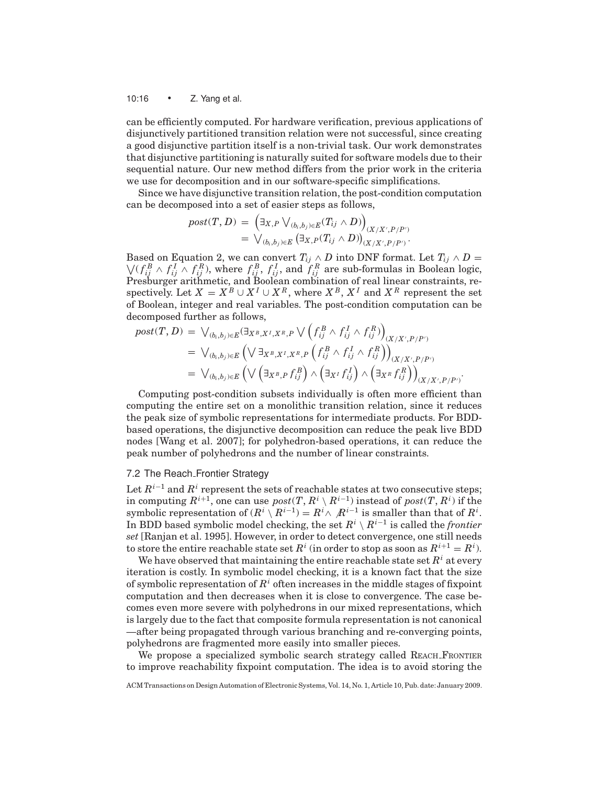10:16 • Z. Yang et al.

can be efficiently computed. For hardware verification, previous applications of disjunctively partitioned transition relation were not successful, since creating a good disjunctive partition itself is a non-trivial task. Our work demonstrates that disjunctive partitioning is naturally suited for software models due to their sequential nature. Our new method differs from the prior work in the criteria we use for decomposition and in our software-specific simplifications.

Since we have disjunctive transition relation, the post-condition computation can be decomposed into a set of easier steps as follows,

$$
post(T, D) = \left(\exists_{X,P} \bigvee_{(b_i,b_j)\in E} (T_{ij} \wedge D)\right)_{(X/X',P/P')} = \bigvee_{(b_i,b_j)\in E} \left(\exists_{X,P} (T_{ij} \wedge D)\right)_{(X/X',P/P')}.
$$

Based on Equation 2, we can convert V  $T_{ij} \wedge D \text{ into DNF format. Let } T_{ij} \wedge D =$  $(f_{ij}^B \wedge f_{ij}^I \wedge f_{ij}^R)$ , where  $f_{ij}^B$ ,  $f_{ij}^I$ , and  $f_{ij}^R$  are sub-formulas in Boolean logic, Presburger arithmetic, and Boolean combination of real linear constraints, respectively. Let  $X = X^B \cup X^I \cup X^R$ , where  $X^B$ ,  $X^I$  and  $X^R$  represent the set of Boolean, integer and real variables. The post-condition computation can be decomposed further as follows,

$$
post(T, D) = \bigvee_{(b_i, b_j) \in E} (\exists_{X^B, X^I, X^R, P} \bigvee \left( f_{ij}^B \wedge f_{ij}^I \wedge f_{ij}^R \right))_{(X/X', P/P')}
$$
  
\n
$$
= \bigvee_{(b_i, b_j) \in E} \left( \bigvee \exists_{X^B, X^I, X^R, P} \left( f_{ij}^B \wedge f_{ij}^I \wedge f_{ij}^R \right) \right)_{(X/X', P/P')}
$$
  
\n
$$
= \bigvee_{(b_i, b_j) \in E} \left( \bigvee \left( \exists_{X^B, P} f_{ij}^B \right) \wedge \left( \exists_{X^I} f_{ij}^I \right) \wedge \left( \exists_{X^R} f_{ij}^R \right) \right)_{(X/X', P/P')}
$$

Computing post-condition subsets individually is often more efficient than computing the entire set on a monolithic transition relation, since it reduces the peak size of symbolic representations for intermediate products. For BDDbased operations, the disjunctive decomposition can reduce the peak live BDD nodes [Wang et al. 2007]; for polyhedron-based operations, it can reduce the peak number of polyhedrons and the number of linear constraints.

.

## 7.2 The Reach Frontier Strategy

Let  $R^{i-1}$  and  $R^i$  represent the sets of reachable states at two consecutive steps; in computing  $R^{i+1}$ , one can use  $post(T, R^i \setminus R^{i-1})$  instead of  $post(T, R^i)$  if the  $\text{symbolic representation of } (R^i \setminus R^{i-1}) = R^i \wedge \ R^{i-1} \text{ is smaller than that of } R^i.$ In BDD based symbolic model checking, the set  $R^i \setminus R^{i-1}$  is called the *frontier set* [Ranjan et al. 1995]. However, in order to detect convergence, one still needs to store the entire reachable state set  $R^i$  (in order to stop as soon as  $R^{i+1} = R^i$ ).

We have observed that maintaining the entire reachable state set  $R<sup>i</sup>$  at every iteration is costly. In symbolic model checking, it is a known fact that the size of symbolic representation of  $R<sup>i</sup>$  often increases in the middle stages of fixpoint computation and then decreases when it is close to convergence. The case becomes even more severe with polyhedrons in our mixed representations, which is largely due to the fact that composite formula representation is not canonical —after being propagated through various branching and re-converging points, polyhedrons are fragmented more easily into smaller pieces.

We propose a specialized symbolic search strategy called REACH\_FRONTIER to improve reachability fixpoint computation. The idea is to avoid storing the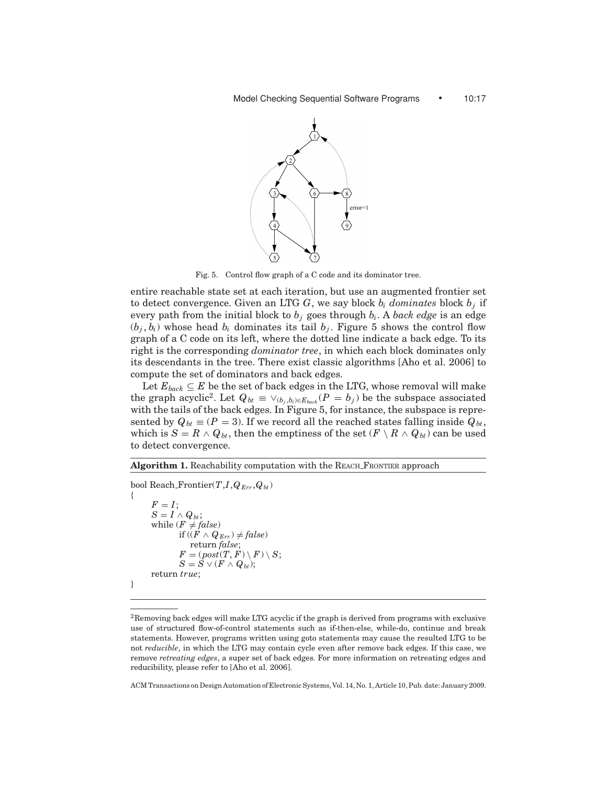

Fig. 5. Control flow graph of a C code and its dominator tree.

entire reachable state set at each iteration, but use an augmented frontier set to detect convergence. Given an LTG  $G$ , we say block  $b_i$  *dominates* block  $b_j$  if every path from the initial block to  $b_j$  goes through  $b_i$ . A *back edge* is an edge  $(b_i, b_i)$  whose head  $b_i$  dominates its tail  $b_j$ . Figure 5 shows the control flow graph of a C code on its left, where the dotted line indicate a back edge. To its right is the corresponding *dominator tree*, in which each block dominates only its descendants in the tree. There exist classic algorithms [Aho et al. 2006] to compute the set of dominators and back edges.

Let  $E_{back} \subseteq E$  be the set of back edges in the LTG, whose removal will make the graph acyclic<sup>2</sup>. Let  $Q_{bt} \equiv \vee_{(b_i,b_i)\in E_{back}} (P = b_j)$  be the subspace associated with the tails of the back edges. In Figure 5, for instance, the subspace is represented by  $Q_{bt} \equiv (P = 3)$ . If we record all the reached states falling inside  $Q_{bt}$ , which is  $S = R \wedge Q_{bt}$ , then the emptiness of the set  $(F \setminus R \wedge Q_{bt})$  can be used to detect convergence.

**Algorithm 1.** Reachability computation with the REACH FRONTIER approach

bool Reach Frontier $(T,I,Q_{Err},Q_{bt})$ {  $F = I$ ;  $S = I \wedge Q_{bt}$ ; while  $(F \neq false)$ if ( $(F ∧ Q_{Err}) ≠ false$ ) return *false*;  $F = (post(T, F) \setminus F) \setminus S;$  $S = S \vee (F \wedge Q_{bt});$ return *true*; }

<sup>&</sup>lt;sup>2</sup>Removing back edges will make LTG acyclic if the graph is derived from programs with exclusive use of structured flow-of-control statements such as if-then-else, while-do, continue and break statements. However, programs written using goto statements may cause the resulted LTG to be not *reducible*, in which the LTG may contain cycle even after remove back edges. If this case, we remove *retreating edges*, a super set of back edges. For more information on retreating edges and reducibility, please refer to [Aho et al. 2006].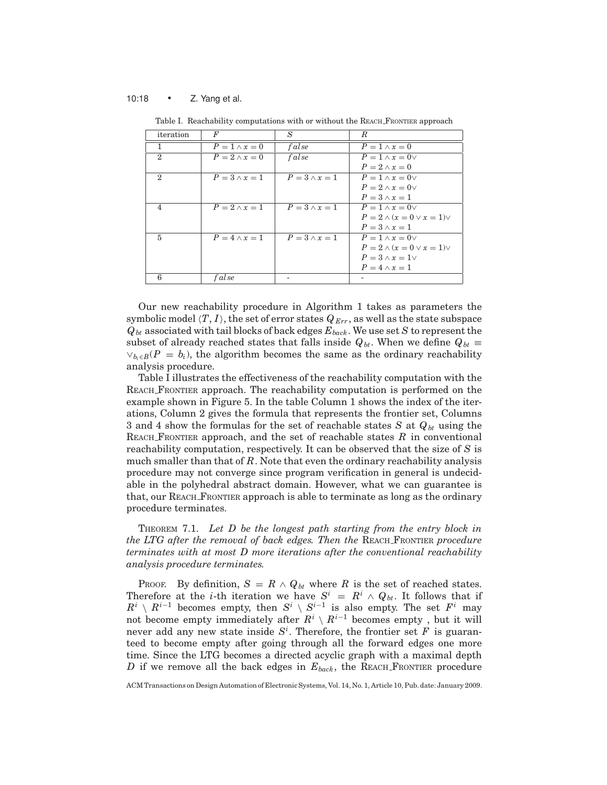## 10:18 • Z. Yang et al.

| iteration                   | F                | S                    | R                                      |
|-----------------------------|------------------|----------------------|----------------------------------------|
|                             | $P=1 \wedge x=0$ | f al se              | $P=1 \wedge x=0$                       |
| $\mathcal{D}_{\mathcal{L}}$ | $P=2 \wedge x=0$ | f al se              | $P = 1 \wedge x = 0 \vee$              |
|                             |                  |                      | $P=2 \wedge x=0$                       |
| $\mathcal{D}_{\mathcal{L}}$ | $P=3 \wedge x=1$ | $P = 3 \wedge x = 1$ | $P=1 \wedge x=0 \vee$                  |
|                             |                  |                      | $P = 2 \wedge x = 0 \vee$              |
|                             |                  |                      | $P=3 \wedge x=1$                       |
| 4                           | $P=2 \wedge x=1$ | $P=3 \wedge x=1$     | $P = 1 \wedge x = 0 \vee$              |
|                             |                  |                      | $P = 2 \wedge (x = 0 \vee x = 1) \vee$ |
|                             |                  |                      | $P=3 \wedge x=1$                       |
| 5                           | $P=4 \wedge x=1$ | $P=3 \wedge x=1$     | $P=1 \wedge x=0 \vee$                  |
|                             |                  |                      | $P=2 \wedge (x=0 \vee x=1) \vee$       |
|                             |                  |                      | $P = 3 \wedge x = 1 \vee$              |
|                             |                  |                      | $P=4 \wedge x=1$                       |
| 6                           | f al se          |                      |                                        |

Table I. Reachability computations with or without the REACH FRONTIER approach

Our new reachability procedure in Algorithm 1 takes as parameters the symbolic model  $\langle T, I \rangle$ , the set of error states  $Q_{Err}$ , as well as the state subspace *Qbt* associated with tail blocks of back edges *Eback*. We use set *S* to represent the subset of already reached states that falls inside  $Q_{bt}$ . When we define  $Q_{bt} \equiv$  $\vee_{b_i \in B}(P = b_i)$ , the algorithm becomes the same as the ordinary reachability analysis procedure.

Table I illustrates the effectiveness of the reachability computation with the REACH FRONTIER approach. The reachability computation is performed on the example shown in Figure 5. In the table Column 1 shows the index of the iterations, Column 2 gives the formula that represents the frontier set, Columns 3 and 4 show the formulas for the set of reachable states *S* at  $Q_{bt}$  using the REACH FRONTIER approach, and the set of reachable states *R* in conventional reachability computation, respectively. It can be observed that the size of *S* is much smaller than that of *R*. Note that even the ordinary reachability analysis procedure may not converge since program verification in general is undecidable in the polyhedral abstract domain. However, what we can guarantee is that, our REACH FRONTIER approach is able to terminate as long as the ordinary procedure terminates.

THEOREM 7.1. *Let D be the longest path starting from the entry block in the LTG after the removal of back edges. Then the* REACH FRONTIER *procedure terminates with at most D more iterations after the conventional reachability analysis procedure terminates.*

PROOF. By definition,  $S = R \wedge Q_{bt}$  where R is the set of reached states. Therefore at the *i*-th iteration we have  $S^i = R^i \wedge Q_{bt}$ . It follows that if  $R^i \setminus R^{i-1}$  becomes empty, then  $S^i \setminus S^{i-1}$  is also empty. The set  $F^i$  may not become empty immediately after  $R^i \setminus R^{i-1}$  becomes empty, but it will never add any new state inside  $S^i$ . Therefore, the frontier set  $F$  is guaranteed to become empty after going through all the forward edges one more time. Since the LTG becomes a directed acyclic graph with a maximal depth *D* if we remove all the back edges in  $E_{back}$ , the REACH\_FRONTIER procedure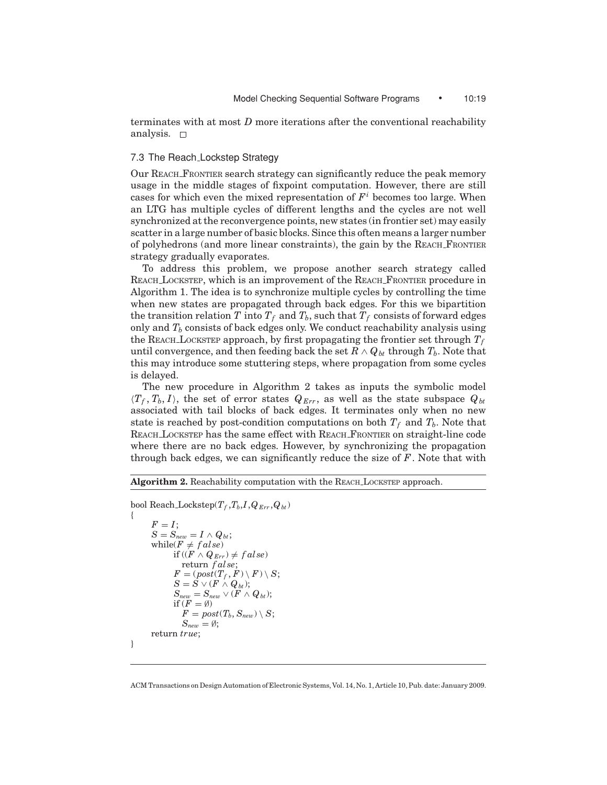terminates with at most *D* more iterations after the conventional reachability analysis.  $\square$ 

# 7.3 The Reach Lockstep Strategy

Our REACH FRONTIER search strategy can significantly reduce the peak memory usage in the middle stages of fixpoint computation. However, there are still cases for which even the mixed representation of  $F<sup>i</sup>$  becomes too large. When an LTG has multiple cycles of different lengths and the cycles are not well synchronized at the reconvergence points, new states (in frontier set) may easily scatter in a large number of basic blocks. Since this often means a larger number of polyhedrons (and more linear constraints), the gain by the REACH FRONTIER strategy gradually evaporates.

To address this problem, we propose another search strategy called REACH LOCKSTEP, which is an improvement of the REACH FRONTIER procedure in Algorithm 1. The idea is to synchronize multiple cycles by controlling the time when new states are propagated through back edges. For this we bipartition the transition relation *T* into  $T_f$  and  $T_b$ , such that  $T_f$  consists of forward edges only and  $T_b$  consists of back edges only. We conduct reachability analysis using the REACH LOCKSTEP approach, by first propagating the frontier set through  $T_f$ until convergence, and then feeding back the set  $R \wedge Q_{bt}$  through  $T_b$ . Note that this may introduce some stuttering steps, where propagation from some cycles is delayed.

The new procedure in Algorithm 2 takes as inputs the symbolic model  $\langle T_f, T_b, I \rangle$ , the set of error states  $Q_{Err}$ , as well as the state subspace  $Q_{bt}$ associated with tail blocks of back edges. It terminates only when no new state is reached by post-condition computations on both  $T_f$  and  $T_b$ . Note that REACH LOCKSTEP has the same effect with REACH FRONTIER on straight-line code where there are no back edges. However, by synchronizing the propagation through back edges, we can significantly reduce the size of *F*. Note that with

**Algorithm 2.** Reachability computation with the REACH LOCKSTEP approach.

```
bool Reach Lockstep(T_f,T_b,I,Q_{Err},Q_{bt})
{
       F = I;
       S = S_{new} = I \wedge Q_{bt};while<br>(\bar{F} \neq falseif ((F \wedge Q_{\mathit{Err}}) \neq \mathit{false})return f alse;
                F = (post(T_f, F) \setminus F) \setminus S;S = S \vee (F \wedge Q_{bt});S_{new} = S_{new} \vee (F \wedge Q_{bt});if (F = \emptyset)F = post(T_b, S_{new}) \setminus S;S_{\text{new}} = \emptyset;return true;
}
```
ACM Transactions on Design Automation of Electronic Systems, Vol. 14, No. 1, Article 10, Pub. date: January 2009.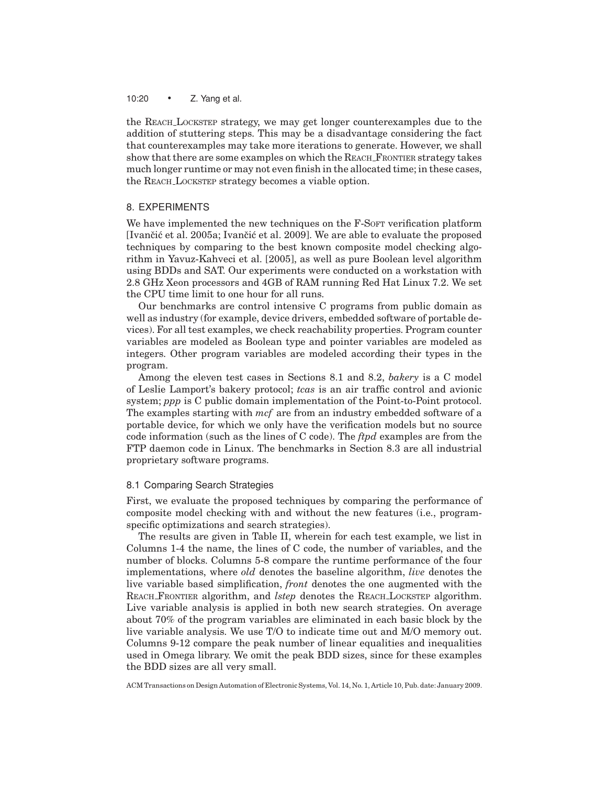## 10:20 • Z. Yang et al.

the REACH LOCKSTEP strategy, we may get longer counterexamples due to the addition of stuttering steps. This may be a disadvantage considering the fact that counterexamples may take more iterations to generate. However, we shall show that there are some examples on which the REACH FRONTIER strategy takes much longer runtime or may not even finish in the allocated time; in these cases, the REACH LOCKSTEP strategy becomes a viable option.

## 8. EXPERIMENTS

We have implemented the new techniques on the F-SOFT verification platform [Ivančić et al. 2005a; Ivančić et al. 2009]. We are able to evaluate the proposed techniques by comparing to the best known composite model checking algorithm in Yavuz-Kahveci et al. [2005], as well as pure Boolean level algorithm using BDDs and SAT. Our experiments were conducted on a workstation with 2.8 GHz Xeon processors and 4GB of RAM running Red Hat Linux 7.2. We set the CPU time limit to one hour for all runs.

Our benchmarks are control intensive C programs from public domain as well as industry (for example, device drivers, embedded software of portable devices). For all test examples, we check reachability properties. Program counter variables are modeled as Boolean type and pointer variables are modeled as integers. Other program variables are modeled according their types in the program.

Among the eleven test cases in Sections 8.1 and 8.2, *bakery* is a C model of Leslie Lamport's bakery protocol; *tcas* is an air traffic control and avionic system; *ppp* is C public domain implementation of the Point-to-Point protocol. The examples starting with *mcf* are from an industry embedded software of a portable device, for which we only have the verification models but no source code information (such as the lines of C code). The *ftpd* examples are from the FTP daemon code in Linux. The benchmarks in Section 8.3 are all industrial proprietary software programs.

## 8.1 Comparing Search Strategies

First, we evaluate the proposed techniques by comparing the performance of composite model checking with and without the new features (i.e., programspecific optimizations and search strategies).

The results are given in Table II, wherein for each test example, we list in Columns 1-4 the name, the lines of C code, the number of variables, and the number of blocks. Columns 5-8 compare the runtime performance of the four implementations, where *old* denotes the baseline algorithm, *live* denotes the live variable based simplification, *front* denotes the one augmented with the REACH FRONTIER algorithm, and *lstep* denotes the REACH LOCKSTEP algorithm. Live variable analysis is applied in both new search strategies. On average about 70% of the program variables are eliminated in each basic block by the live variable analysis. We use T/O to indicate time out and M/O memory out. Columns 9-12 compare the peak number of linear equalities and inequalities used in Omega library. We omit the peak BDD sizes, since for these examples the BDD sizes are all very small.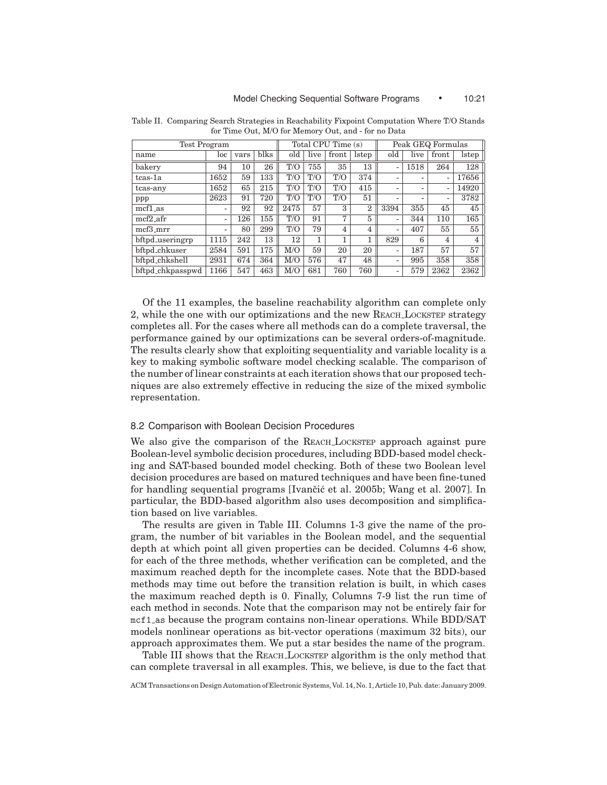| Test Program     |      |        |      |      | Total CPU Time (s) |       |                |      | Peak GEQ Formulas |       |       |  |
|------------------|------|--------|------|------|--------------------|-------|----------------|------|-------------------|-------|-------|--|
| name             | loc  | vars   | blks | old  | live               | front | <b>lstep</b>   | old  | live              | front | lstep |  |
| bakery           | 94   | $10\,$ | 26   | T/O  | 755                | 35    | 13             |      | 1518              | 264   | 128   |  |
| tcas-1a          | 1652 | 59     | 133  | T/O  | T/O                | T/O   | 374            |      |                   | ٠     | 17656 |  |
| tcas-any         | 1652 | 65     | 215  | T/O  | T/O                | T/O   | 415            |      |                   | ٠     | 14920 |  |
| ppp              | 2623 | 91     | 720  | T/O  | T/O                | T/O   | 51             |      |                   | ٠     | 3782  |  |
| mcf1_as          |      | 92     | 92   | 2475 | 57                 | 3     | $\overline{2}$ | 3394 | 355               | 45    | 45    |  |
| $mcf2_a$ fr      | -    | 126    | 155  | T/O  | 91                 | 7     | 5              |      | 344               | 110   | 165   |  |
| mcf3_mrr         |      | 80     | 299  | T/O  | 79                 | 4     | 4              |      | 407               | 55    | 55    |  |
| bftpd useringrp  | 1115 | 242    | 13   | 12   | 1                  |       |                | 829  | 6                 | 4     | 4     |  |
| bftpd_chkuser    | 2584 | 591    | 175  | M/O  | 59                 | 20    | 20             |      | 187               | 57    | 57    |  |
| bftpd_chkshell   | 2931 | 674    | 364  | M/O  | 576                | 47    | 48             |      | 995               | 358   | 358   |  |
| bftpd_chkpasspwd | 1166 | 547    | 463  | M/O  | 681                | 760   | 760            |      | 579               | 2362  | 2362  |  |

Table II. Comparing Search Strategies in Reachability Fixpoint Computation Where T/O Stands for Time Out, M/O for Memory Out, and - for no Data

Of the 11 examples, the baseline reachability algorithm can complete only 2, while the one with our optimizations and the new REACH LOCKSTEP strategy completes all. For the cases where all methods can do a complete traversal, the performance gained by our optimizations can be several orders-of-magnitude. The results clearly show that exploiting sequentiality and variable locality is a key to making symbolic software model checking scalable. The comparison of the number of linear constraints at each iteration shows that our proposed techniques are also extremely effective in reducing the size of the mixed symbolic representation.

#### 8.2 Comparison with Boolean Decision Procedures

We also give the comparison of the REACH LOCKSTEP approach against pure Boolean-level symbolic decision procedures, including BDD-based model checking and SAT-based bounded model checking. Both of these two Boolean level decision procedures are based on matured techniques and have been fine-tuned for handling sequential programs [Ivancić et al. 2005b; Wang et al. 2007]. In particular, the BDD-based algorithm also uses decomposition and simplification based on live variables.

The results are given in Table III. Columns 1-3 give the name of the program, the number of bit variables in the Boolean model, and the sequential depth at which point all given properties can be decided. Columns 4-6 show, for each of the three methods, whether verification can be completed, and the maximum reached depth for the incomplete cases. Note that the BDD-based methods may time out before the transition relation is built, in which cases the maximum reached depth is 0. Finally, Columns 7-9 list the run time of each method in seconds. Note that the comparison may not be entirely fair for mcf1 as because the program contains non-linear operations. While BDD/SAT models nonlinear operations as bit-vector operations (maximum 32 bits), our approach approximates them. We put a star besides the name of the program.

Table III shows that the REACH LOCKSTEP algorithm is the only method that can complete traversal in all examples. This, we believe, is due to the fact that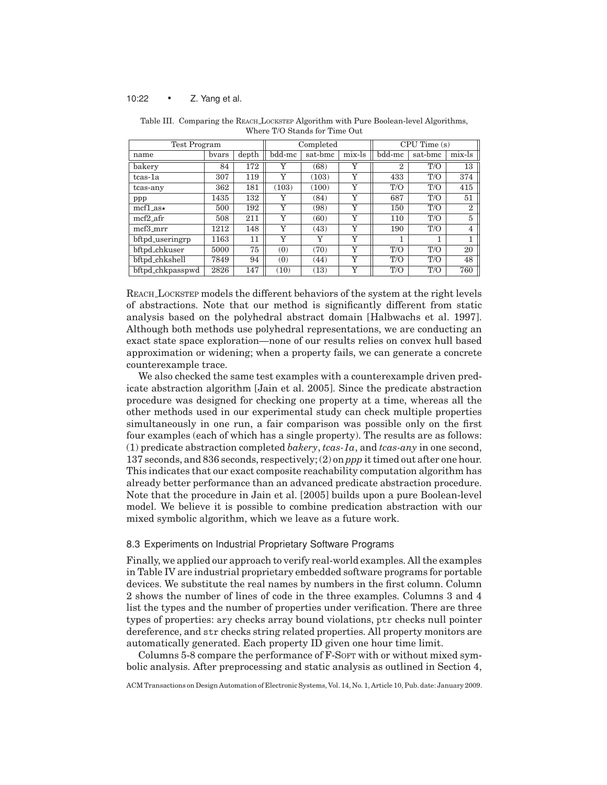#### 10:22 • Z. Yang et al.

| Test Program      |       |       |        | Completed |          | CPU Time(s)    |         |                |
|-------------------|-------|-------|--------|-----------|----------|----------------|---------|----------------|
| name              | bvars | depth | bdd-mc | sat-bmc   | $mix-ls$ | bdd-mc         | sat-bmc | mix-ls         |
| bakery            | 84    | 172   | Y      | (68)      | Y        | $\overline{2}$ | T/O     | 13             |
| tcas-1a           | 307   | 119   | Y      | (103)     | Y        | 433            | T/O     | 374            |
| tcas-any          | 362   | 181   | (103)  | (100)     | Y        | T/O            | T/O     | 415            |
| ppp               | 1435  | 132   | Y      | (84)      | Y        | 687            | T/O     | 51             |
| $mcf1$ as $\star$ | 500   | 192   | Y      | (98)      | Y        | 150            | T/O     | $\mathbf{2}$   |
| $mcf2_a$ fr       | 508   | 211   | Y      | (60)      | Y        | 110            | T/O     | 5              |
| mcf3 mrr          | 1212  | 148   | Y      | (43)      | Y        | 190            | T/O     | $\overline{4}$ |
| bftpd_useringrp   | 1163  | 11    | Y      | Y         | Y        |                |         |                |
| bftpd_chkuser     | 5000  | 75    | (0)    | (70)      | Y        | T/O            | T/O     | 20             |
| bftpd_chkshell    | 7849  | 94    | (0)    | (44)      | Y        | T/O            | T/O     | 48             |
| bftpd_chkpasspwd  | 2826  | 147   | (10)   | (13)      | Y        | T/O            | T/O     | 760            |

Table III. Comparing the REACH LOCKSTEP Algorithm with Pure Boolean-level Algorithms, Where T/O Stands for Time Out

REACH LOCKSTEP models the different behaviors of the system at the right levels of abstractions. Note that our method is significantly different from static analysis based on the polyhedral abstract domain [Halbwachs et al. 1997]. Although both methods use polyhedral representations, we are conducting an exact state space exploration—none of our results relies on convex hull based approximation or widening; when a property fails, we can generate a concrete counterexample trace.

We also checked the same test examples with a counterexample driven predicate abstraction algorithm [Jain et al. 2005]. Since the predicate abstraction procedure was designed for checking one property at a time, whereas all the other methods used in our experimental study can check multiple properties simultaneously in one run, a fair comparison was possible only on the first four examples (each of which has a single property). The results are as follows: (1) predicate abstraction completed *bakery*, *tcas-1a*, and *tcas-any* in one second, 137 seconds, and 836 seconds, respectively; (2) on *ppp* it timed out after one hour. This indicates that our exact composite reachability computation algorithm has already better performance than an advanced predicate abstraction procedure. Note that the procedure in Jain et al. [2005] builds upon a pure Boolean-level model. We believe it is possible to combine predication abstraction with our mixed symbolic algorithm, which we leave as a future work.

## 8.3 Experiments on Industrial Proprietary Software Programs

Finally, we applied our approach to verify real-world examples. All the examples in Table IV are industrial proprietary embedded software programs for portable devices. We substitute the real names by numbers in the first column. Column 2 shows the number of lines of code in the three examples. Columns 3 and 4 list the types and the number of properties under verification. There are three types of properties: ary checks array bound violations, ptr checks null pointer dereference, and str checks string related properties. All property monitors are automatically generated. Each property ID given one hour time limit.

Columns 5-8 compare the performance of F-SOFT with or without mixed symbolic analysis. After preprocessing and static analysis as outlined in Section 4,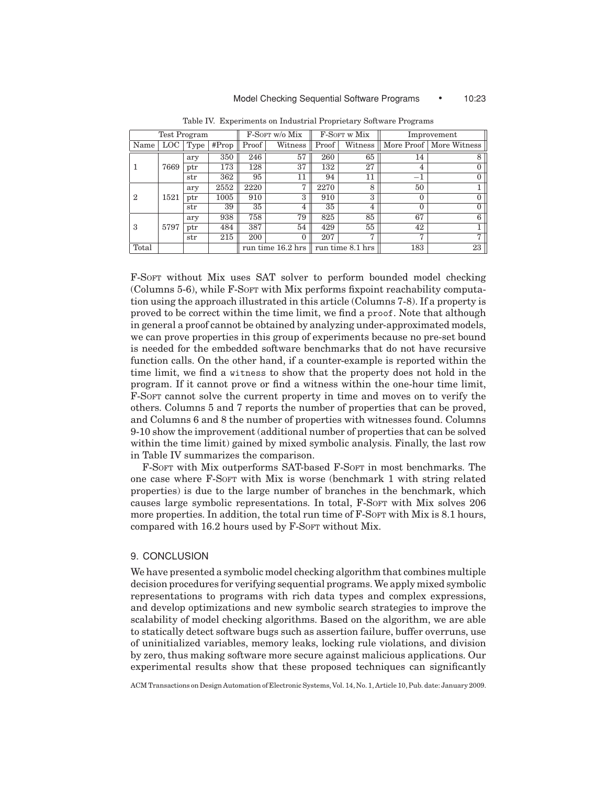#### Model Checking Sequential Software Programs • 10:23

| Test Program |      |            |       | F-SOFT W/O Mix |                   | F-SOFT w Mix     |         | Improvement |                           |
|--------------|------|------------|-------|----------------|-------------------|------------------|---------|-------------|---------------------------|
| Name         |      | LOC   Type | #Prop | Proof          | Witness           | Proof            | Witness |             | More Proof   More Witness |
|              | 7669 | ary        | 350   | 246            | 57                | 260              | 65      | 14          |                           |
|              |      | ptr        | 173   | 128            | 37                | 132              | 27      | 4           |                           |
|              |      | str        | 362   | 95             | 11                | 94               | 11      | $-1$        |                           |
|              | 1521 | ary        | 2552  | 2220           | 7                 | 2270             | 8       | 50          |                           |
| $\mathbf{2}$ |      | ptr        | 1005  | 910            | 3                 | 910              | 3       |             |                           |
|              |      | str        | 39    | 35             | 4                 | 35               | 4       |             |                           |
| 3            | 5797 | ary        | 938   | 758            | 79                | 825              | 85      | 67          | 6                         |
|              |      | ptr        | 484   | 387            | 54                | 429              | 55      | 42          |                           |
|              |      | str        | 215   | 200            | $\Omega$          | 207              | 7       | ┍           | ⇁                         |
| Total        |      |            |       |                | run time 16.2 hrs | run time 8.1 hrs |         | 183         | 23                        |

Table IV. Experiments on Industrial Proprietary Software Programs

F-SOFT without Mix uses SAT solver to perform bounded model checking (Columns 5-6), while F-SOFT with Mix performs fixpoint reachability computation using the approach illustrated in this article (Columns 7-8). If a property is proved to be correct within the time limit, we find a proof. Note that although in general a proof cannot be obtained by analyzing under-approximated models, we can prove properties in this group of experiments because no pre-set bound is needed for the embedded software benchmarks that do not have recursive function calls. On the other hand, if a counter-example is reported within the time limit, we find a witness to show that the property does not hold in the program. If it cannot prove or find a witness within the one-hour time limit, F-SOFT cannot solve the current property in time and moves on to verify the others. Columns 5 and 7 reports the number of properties that can be proved, and Columns 6 and 8 the number of properties with witnesses found. Columns 9-10 show the improvement (additional number of properties that can be solved within the time limit) gained by mixed symbolic analysis. Finally, the last row in Table IV summarizes the comparison.

F-SOFT with Mix outperforms SAT-based F-SOFT in most benchmarks. The one case where F-SOFT with Mix is worse (benchmark 1 with string related properties) is due to the large number of branches in the benchmark, which causes large symbolic representations. In total, F-SOFT with Mix solves 206 more properties. In addition, the total run time of F-Sort with Mix is 8.1 hours, compared with 16.2 hours used by F-SOFT without Mix.

## 9. CONCLUSION

We have presented a symbolic model checking algorithm that combines multiple decision procedures for verifying sequential programs. We apply mixed symbolic representations to programs with rich data types and complex expressions, and develop optimizations and new symbolic search strategies to improve the scalability of model checking algorithms. Based on the algorithm, we are able to statically detect software bugs such as assertion failure, buffer overruns, use of uninitialized variables, memory leaks, locking rule violations, and division by zero, thus making software more secure against malicious applications. Our experimental results show that these proposed techniques can significantly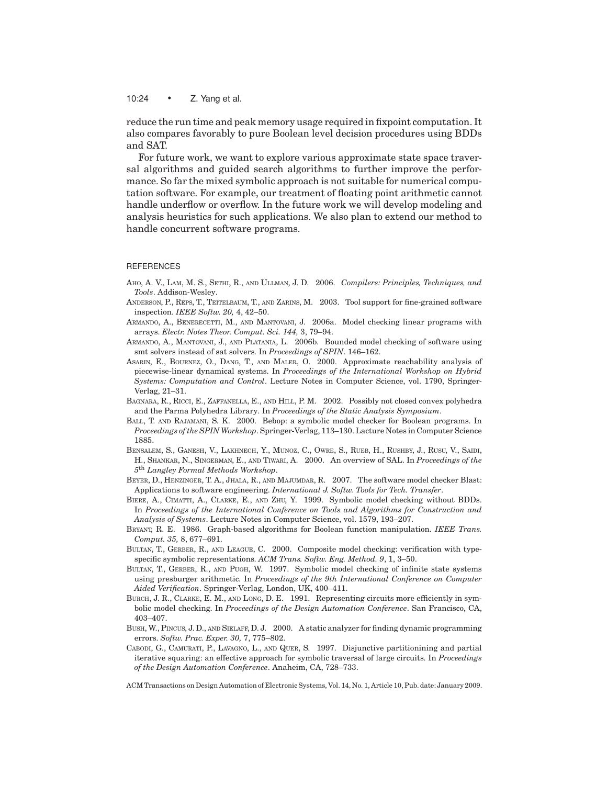10:24 • Z. Yang et al.

reduce the run time and peak memory usage required in fixpoint computation. It also compares favorably to pure Boolean level decision procedures using BDDs and SAT.

For future work, we want to explore various approximate state space traversal algorithms and guided search algorithms to further improve the performance. So far the mixed symbolic approach is not suitable for numerical computation software. For example, our treatment of floating point arithmetic cannot handle underflow or overflow. In the future work we will develop modeling and analysis heuristics for such applications. We also plan to extend our method to handle concurrent software programs.

#### **REFERENCES**

- AHO, A. V., LAM, M. S., SETHI, R., AND ULLMAN, J. D. 2006. *Compilers: Principles, Techniques, and Tools*. Addison-Wesley.
- ANDERSON, P., REPS, T., TEITELBAUM, T., AND ZARINS, M. 2003. Tool support for fine-grained software inspection. *IEEE Softw. 20,* 4, 42–50.
- ARMANDO, A., BENERECETTI, M., AND MANTOVANI, J. 2006a. Model checking linear programs with arrays. *Electr. Notes Theor. Comput. Sci. 144,* 3, 79–94.
- ARMANDO, A., MANTOVANI, J., AND PLATANIA, L. 2006b. Bounded model checking of software using smt solvers instead of sat solvers. In *Proceedings of SPIN*. 146–162.
- ASARIN, E., BOURNEZ, O., DANG, T., AND MALER, O. 2000. Approximate reachability analysis of piecewise-linear dynamical systems. In *Proceedings of the International Workshop on Hybrid Systems: Computation and Control*. Lecture Notes in Computer Science, vol. 1790, Springer-Verlag, 21–31.
- BAGNARA, R., RICCI, E., ZAFFANELLA, E., AND HILL, P. M. 2002. Possibly not closed convex polyhedra and the Parma Polyhedra Library. In *Proceedings of the Static Analysis Symposium*.
- BALL, T. AND RAJAMANI, S. K. 2000. Bebop: a symbolic model checker for Boolean programs. In *Proceedings of the SPIN Workshop*. Springer-Verlag, 113–130. Lacture Notes in Computer Science 1885.
- BENSALEM, S., GANESH, V., LAKHNECH, Y., MUNOZ, C., OWRE, S., RUEB, H., RUSHBY, J., RUSU, V., SAIDI, H., SHANKAR, N., SINGERMAN, E., AND TIWARI, A. 2000. An overview of SAL. In *Proceedings of the 5*th *Langley Formal Methods Workshop*.
- BEYER, D., HENZINGER, T. A., JHALA, R., AND MAJUMDAR, R. 2007. The software model checker Blast: Applications to software engineering. *International J. Softw. Tools for Tech. Transfer*.
- BIERE, A., CIMATTI, A., CLARKE, E., AND ZHU, Y. 1999. Symbolic model checking without BDDs. In *Proceedings of the International Conference on Tools and Algorithms for Construction and Analysis of Systems*. Lecture Notes in Computer Science, vol. 1579, 193–207.
- BRYANT, R. E. 1986. Graph-based algorithms for Boolean function manipulation. *IEEE Trans. Comput. 35,* 8, 677–691.
- BULTAN, T., GERBER, R., AND LEAGUE, C. 2000. Composite model checking: verification with typespecific symbolic representations. *ACM Trans. Softw. Eng. Method. 9*, 1, 3–50.
- BULTAN, T., GERBER, R., AND PUGH, W. 1997. Symbolic model checking of infinite state systems using presburger arithmetic. In *Proceedings of the 9th International Conference on Computer Aided Verification*. Springer-Verlag, London, UK, 400–411.
- BURCH, J. R., CLARKE, E. M., AND LONG, D. E. 1991. Representing circuits more efficiently in symbolic model checking. In *Proceedings of the Design Automation Conference*. San Francisco, CA, 403–407.
- BUSH, W., PINCUS, J. D., AND SIELAFF, D. J. 2000. A static analyzer for finding dynamic programming errors. *Softw. Prac. Exper. 30,* 7, 775–802.
- CABODI, G., CAMURATI, P., LAVAGNO, L., AND QUER, S. 1997. Disjunctive partitionining and partial iterative squaring: an effective approach for symbolic traversal of large circuits. In *Proceedings of the Design Automation Conference*. Anaheim, CA, 728–733.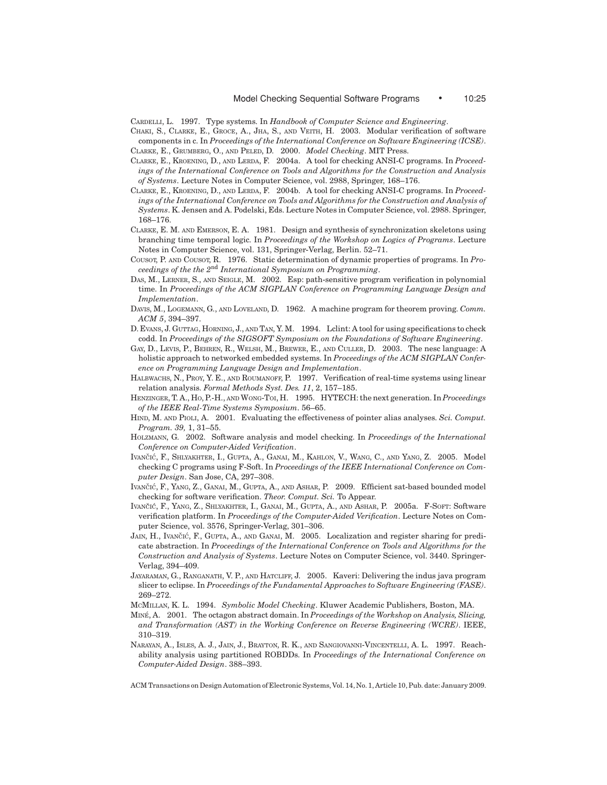CARDELLI, L. 1997. Type systems. In *Handbook of Computer Science and Engineering*.

- CHAKI, S., CLARKE, E., GROCE, A., JHA, S., AND VEITH, H. 2003. Modular verification of software components in c. In *Proceedings of the International Conference on Software Engineering (ICSE)*. CLARKE, E., GRUMBERG, O., AND PELED, D. 2000. *Model Checking*. MIT Press.
- CLARKE, E., KROENING, D., AND LERDA, F. 2004a. A tool for checking ANSI-C programs. In *Proceedings of the International Conference on Tools and Algorithms for the Construction and Analysis of Systems*. Lecture Notes in Computer Science, vol. 2988, Springer, 168–176.
- CLARKE, E., KROENING, D., AND LERDA, F. 2004b. A tool for checking ANSI-C programs. In *Proceedings of the International Conference on Tools and Algorithms for the Construction and Analysis of Systems*. K. Jensen and A. Podelski, Eds. Lecture Notes in Computer Science, vol. 2988. Springer, 168–176.
- CLARKE, E. M. AND EMERSON, E. A. 1981. Design and synthesis of synchronization skeletons using branching time temporal logic. In *Proceedings of the Workshop on Logics of Programs*. Lecture Notes in Computer Science, vol. 131, Springer-Verlag, Berlin. 52–71.
- COUSOT, P. AND COUSOT, R. 1976. Static determination of dynamic properties of programs. In *Proceedings of the the 2*nd *International Symposium on Programming*.
- DAS, M., LERNER, S., AND SEIGLE, M. 2002. Esp: path-sensitive program verification in polynomial time. In *Proceedings of the ACM SIGPLAN Conference on Programming Language Design and Implementation*.
- DAVIS, M., LOGEMANN, G., AND LOVELAND, D. 1962. A machine program for theorem proving. *Comm. ACM 5*, 394–397.
- D. EVANS, J. GUTTAG, HORNING, J., AND TAN, Y. M. 1994. Lclint: A tool for using specifications to check codd. In *Proceedings of the SIGSOFT Symposium on the Foundations of Software Engineering*.
- GAY, D., LEVIS, P., BEHREN, R., WELSH, M., BREWER, E., AND CULLER, D. 2003. The nesc language: A holistic approach to networked embedded systems. In *Proceedings of the ACM SIGPLAN Conference on Programming Language Design and Implementation*.
- HALBWACHS, N., PROY, Y. E., AND ROUMANOFF, P. 1997. Verification of real-time systems using linear relation analysis. *Formal Methods Syst. Des. 11*, 2, 157–185.
- HENZINGER, T. A., HO, P.-H., AND WONG-TOI, H. 1995. HYTECH: the next generation. In *Proceedings of the IEEE Real-Time Systems Symposium*. 56–65.
- HIND, M. AND PIOLI, A. 2001. Evaluating the effectiveness of pointer alias analyses. *Sci. Comput. Program. 39,* 1, 31–55.
- HOLZMANN, G. 2002. Software analysis and model checking. In *Proceedings of the International Conference on Computer-Aided Verification*.
- IVANČIĆ, F., SHLYAKHTER, I., GUPTA, A., GANAI, M., KAHLON, V., WANG, C., AND YANG, Z. 2005. Model checking C programs using F-Soft. In *Proceedings of the IEEE International Conference on Computer Design*. San Jose, CA, 297–308.
- IVANČIĆ, F., YANG, Z., GANAI, M., GUPTA, A., AND ASHAR, P. 2009. Efficient sat-based bounded model checking for software verification. *Theor. Comput. Sci.* To Appear.
- IVANČIĆ, F., YANG, Z., SHLYAKHTER, I., GANAI, M., GUPTA, A., AND ASHAR, P. 2005a. F-SOFT: Software verification platform. In *Proceedings of the Computer-Aided Verification*. Lecture Notes on Computer Science, vol. 3576, Springer-Verlag, 301–306.
- JAIN, H., IVANČIĆ, F., GUPTA, A., AND GANAI, M. 2005. Localization and register sharing for predicate abstraction. In *Proceedings of the International Conference on Tools and Algorithms for the Construction and Analysis of Systems*. Lecture Notes on Computer Science, vol. 3440. Springer-Verlag, 394–409.
- JAYARAMAN, G., RANGANATH, V. P., AND HATCLIFF, J. 2005. Kaveri: Delivering the indus java program slicer to eclipse. In *Proceedings of the Fundamental Approaches to Software Engineering (FASE)*. 269–272.
- MCMILLAN, K. L. 1994. *Symbolic Model Checking*. Kluwer Academic Publishers, Boston, MA.
- MINE´, A. 2001. The octagon abstract domain. In *Proceedings of the Workshop on Analysis, Slicing, and Transformation (AST) in the Working Conference on Reverse Engineering (WCRE)*. IEEE, 310–319.
- NARAYAN, A., ISLES, A. J., JAIN, J., BRAYTON, R. K., AND SANGIOVANNI-VINCENTELLI, A. L. 1997. Reachability analysis using partitioned ROBDDs. In *Proceedings of the International Conference on Computer-Aided Design*. 388–393.